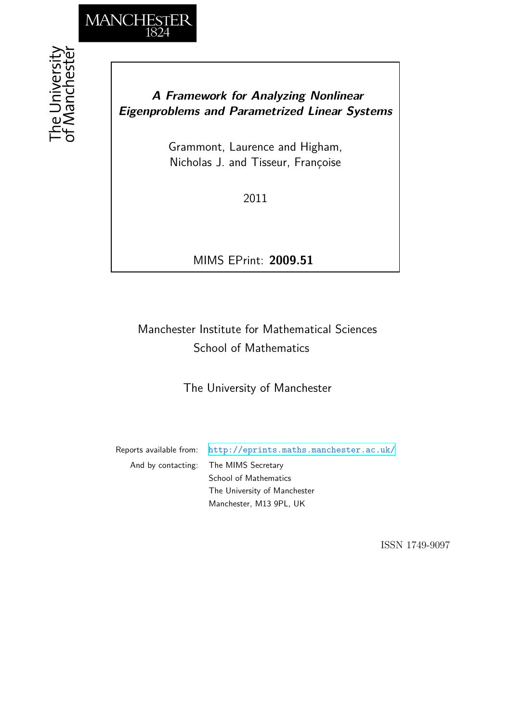

## *A Framework for Analyzing Nonlinear Eigenproblems and Parametrized Linear Systems*

Grammont, Laurence and Higham, Nicholas J. and Tisseur, Françoise

2011

MIMS EPrint: **2009.51**

# Manchester Institute for Mathematical Sciences School of Mathematics

The University of Manchester

Reports available from: <http://eprints.maths.manchester.ac.uk/> And by contacting: The MIMS Secretary School of Mathematics The University of Manchester Manchester, M13 9PL, UK

ISSN 1749-9097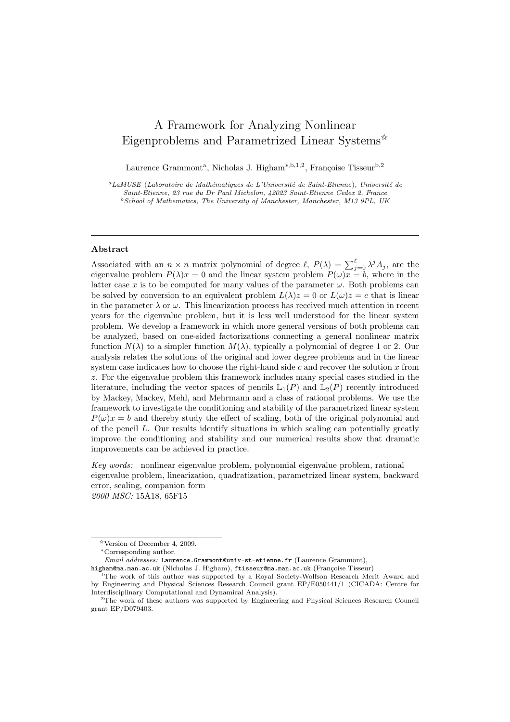### A Framework for Analyzing Nonlinear Eigenproblems and Parametrized Linear Systems<sup> $\hat{\mathbf{x}}$ </sup>

Laurence Grammont<sup>a</sup>, Nicholas J. Higham<sup>\*,b,1,2</sup>, Françoise Tisseur<sup>b,2</sup>

<sup>a</sup>LaMUSE (Laboratoire de Mathématiques de L'Université de Saint-Etienne), Université de Saint-Etienne, 23 rue du Dr Paul Michelon, 42023 Saint-Etienne Cedex 2, France  $^{b}$ School of Mathematics, The University of Manchester, Manchester, M13 9PL, UK

#### Abstract

Associated with an  $n \times n$  matrix polynomial of degree  $\ell$ ,  $P(\lambda) = \sum_{j=0}^{\ell} \lambda^{j} A_j$ , are the eigenvalue problem  $P(\lambda)x = 0$  and the linear system problem  $P(\omega)x = b$ , where in the latter case x is to be computed for many values of the parameter  $\omega$ . Both problems can be solved by conversion to an equivalent problem  $L(\lambda)z = 0$  or  $L(\omega)z = c$  that is linear in the parameter  $\lambda$  or  $\omega$ . This linearization process has received much attention in recent years for the eigenvalue problem, but it is less well understood for the linear system problem. We develop a framework in which more general versions of both problems can be analyzed, based on one-sided factorizations connecting a general nonlinear matrix function  $N(\lambda)$  to a simpler function  $M(\lambda)$ , typically a polynomial of degree 1 or 2. Our analysis relates the solutions of the original and lower degree problems and in the linear system case indicates how to choose the right-hand side  $c$  and recover the solution  $x$  from z. For the eigenvalue problem this framework includes many special cases studied in the literature, including the vector spaces of pencils  $\mathbb{L}_1(P)$  and  $\mathbb{L}_2(P)$  recently introduced by Mackey, Mackey, Mehl, and Mehrmann and a class of rational problems. We use the framework to investigate the conditioning and stability of the parametrized linear system  $P(\omega)x = b$  and thereby study the effect of scaling, both of the original polynomial and of the pencil  $L$ . Our results identify situations in which scaling can potentially greatly improve the conditioning and stability and our numerical results show that dramatic improvements can be achieved in practice.

Key words: nonlinear eigenvalue problem, polynomial eigenvalue problem, rational eigenvalue problem, linearization, quadratization, parametrized linear system, backward error, scaling, companion form 2000 MSC: 15A18, 65F15

<sup>✩</sup>Version of December 4, 2009.

<sup>∗</sup>Corresponding author.

Email addresses: Laurence.Grammont@univ-st-etienne.fr (Laurence Grammont),

higham@ma.man.ac.uk (Nicholas J. Higham), ftisseur@ma.man.ac.uk (Françoise Tisseur)

<sup>&</sup>lt;sup>1</sup>The work of this author was supported by a Royal Society-Wolfson Research Merit Award and by Engineering and Physical Sciences Research Council grant EP/E050441/1 (CICADA: Centre for Interdisciplinary Computational and Dynamical Analysis).

<sup>&</sup>lt;sup>2</sup>The work of these authors was supported by Engineering and Physical Sciences Research Council grant EP/D079403.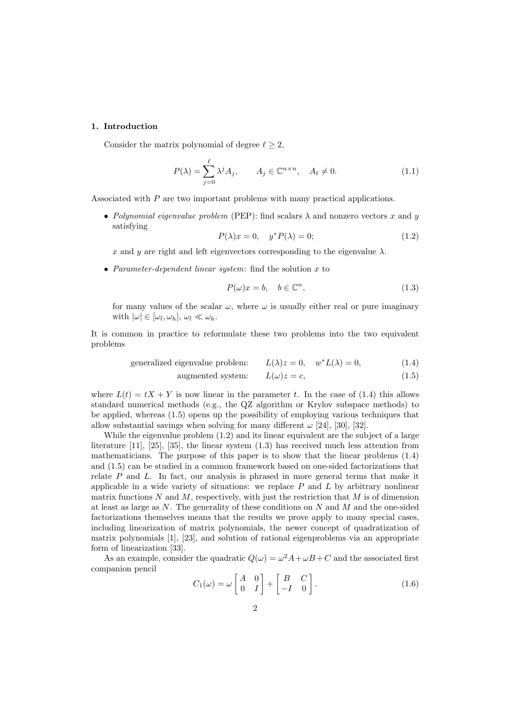#### 1. Introduction

Consider the matrix polynomial of degree  $\ell \geq 2$ ,

$$
P(\lambda) = \sum_{j=0}^{\ell} \lambda^j A_j, \qquad A_j \in \mathbb{C}^{n \times n}, \quad A_{\ell} \neq 0.
$$
 (1.1)

Associated with P are two important problems with many practical applications.

• Polynomial eigenvalue problem (PEP): find scalars  $\lambda$  and nonzero vectors x and y satisfying

$$
P(\lambda)x = 0, \quad y^*P(\lambda) = 0; \tag{1.2}
$$

x and y are right and left eigenvectors corresponding to the eigenvalue  $\lambda$ .

• Parameter-dependent linear system: find the solution  $x$  to

$$
P(\omega)x = b, \quad b \in \mathbb{C}^n,\tag{1.3}
$$

for many values of the scalar  $\omega$ , where  $\omega$  is usually either real or pure imaginary with  $|\omega| \in [\omega_l, \omega_h], \omega_l \ll \omega_h$ .

It is common in practice to reformulate these two problems into the two equivalent problems

generalized eigenvalue problem: 
$$
L(\lambda)z = 0
$$
,  $w^*L(\lambda) = 0$ , (1.4)

augmented system: 
$$
L(\omega)z = c,
$$
 (1.5)

where  $L(t) = tX + Y$  is now linear in the parameter t. In the case of (1.4) this allows standard numerical methods (e.g., the QZ algorithm or Krylov subspace methods) to be applied, whereas (1.5) opens up the possibility of employing various techniques that allow substantial savings when solving for many different  $\omega$  [24], [30], [32].

While the eigenvalue problem (1.2) and its linear equivalent are the subject of a large literature [11], [25], [35], the linear system (1.3) has received much less attention from mathematicians. The purpose of this paper is to show that the linear problems (1.4) and (1.5) can be studied in a common framework based on one-sided factorizations that relate  $P$  and  $L$ . In fact, our analysis is phrased in more general terms that make it applicable in a wide variety of situations: we replace  $P$  and  $L$  by arbitrary nonlinear matrix functions  $N$  and  $M$ , respectively, with just the restriction that  $M$  is of dimension at least as large as  $N$ . The generality of these conditions on  $N$  and  $M$  and the one-sided factorizations themselves means that the results we prove apply to many special cases, including linearization of matrix polynomials, the newer concept of quadratization of matrix polynomials [1], [23], and solution of rational eigenproblems via an appropriate form of linearization [33].

As an example, consider the quadratic  $Q(\omega) = \omega^2 A + \omega B + C$  and the associated first companion pencil

$$
C_1(\omega) = \omega \begin{bmatrix} A & 0 \\ 0 & I \end{bmatrix} + \begin{bmatrix} B & C \\ -I & 0 \end{bmatrix}.
$$
 (1.6)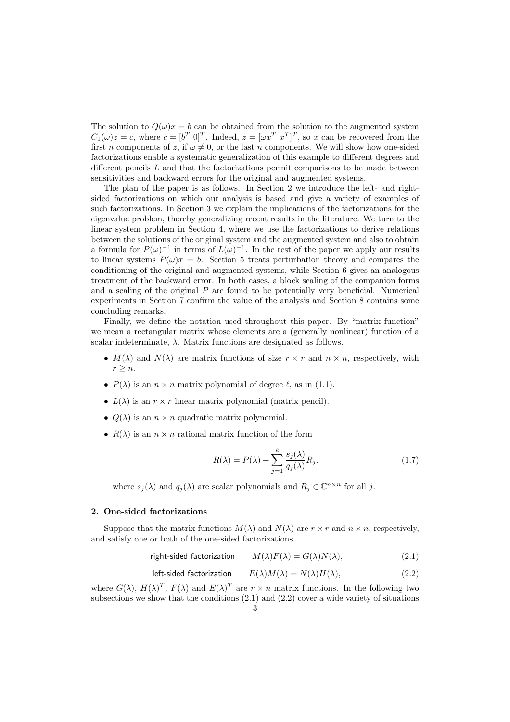The solution to  $Q(\omega)x = b$  can be obtained from the solution to the augmented system  $C_1(\omega)z = c$ , where  $c = [b^T \ 0]^T$ . Indeed,  $z = [\omega x^T \ x^T]^T$ , so x can be recovered from the first n components of z, if  $\omega \neq 0$ , or the last n components. We will show how one-sided factorizations enable a systematic generalization of this example to different degrees and different pencils  $L$  and that the factorizations permit comparisons to be made between sensitivities and backward errors for the original and augmented systems.

The plan of the paper is as follows. In Section 2 we introduce the left- and rightsided factorizations on which our analysis is based and give a variety of examples of such factorizations. In Section 3 we explain the implications of the factorizations for the eigenvalue problem, thereby generalizing recent results in the literature. We turn to the linear system problem in Section 4, where we use the factorizations to derive relations between the solutions of the original system and the augmented system and also to obtain a formula for  $P(\omega)^{-1}$  in terms of  $L(\omega)^{-1}$ . In the rest of the paper we apply our results to linear systems  $P(\omega)x = b$ . Section 5 treats perturbation theory and compares the conditioning of the original and augmented systems, while Section 6 gives an analogous treatment of the backward error. In both cases, a block scaling of the companion forms and a scaling of the original  $P$  are found to be potentially very beneficial. Numerical experiments in Section 7 confirm the value of the analysis and Section 8 contains some concluding remarks.

Finally, we define the notation used throughout this paper. By "matrix function" we mean a rectangular matrix whose elements are a (generally nonlinear) function of a scalar indeterminate,  $\lambda$ . Matrix functions are designated as follows.

- $M(\lambda)$  and  $N(\lambda)$  are matrix functions of size  $r \times r$  and  $n \times n$ , respectively, with  $r \geq n$ .
- $P(\lambda)$  is an  $n \times n$  matrix polynomial of degree  $\ell$ , as in (1.1).
- $L(\lambda)$  is an  $r \times r$  linear matrix polynomial (matrix pencil).
- $Q(\lambda)$  is an  $n \times n$  quadratic matrix polynomial.
- $R(\lambda)$  is an  $n \times n$  rational matrix function of the form

$$
R(\lambda) = P(\lambda) + \sum_{j=1}^{k} \frac{s_j(\lambda)}{q_j(\lambda)} R_j,
$$
\n(1.7)

where  $s_j(\lambda)$  and  $q_j(\lambda)$  are scalar polynomials and  $R_j \in \mathbb{C}^{n \times n}$  for all j.

#### 2. One-sided factorizations

Suppose that the matrix functions  $M(\lambda)$  and  $N(\lambda)$  are  $r \times r$  and  $n \times n$ , respectively, and satisfy one or both of the one-sided factorizations

right-sided factorization 
$$
M(\lambda)F(\lambda) = G(\lambda)N(\lambda)
$$
, (2.1)

left-sided factorization 
$$
E(\lambda)M(\lambda) = N(\lambda)H(\lambda)
$$
, (2.2)

where  $G(\lambda)$ ,  $H(\lambda)^T$ ,  $F(\lambda)$  and  $E(\lambda)^T$  are  $r \times n$  matrix functions. In the following two subsections we show that the conditions  $(2.1)$  and  $(2.2)$  cover a wide variety of situations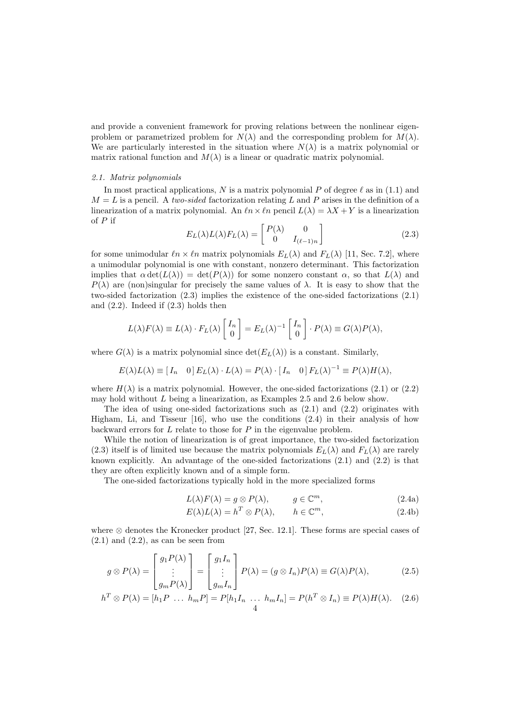and provide a convenient framework for proving relations between the nonlinear eigenproblem or parametrized problem for  $N(\lambda)$  and the corresponding problem for  $M(\lambda)$ . We are particularly interested in the situation where  $N(\lambda)$  is a matrix polynomial or matrix rational function and  $M(\lambda)$  is a linear or quadratic matrix polynomial.

#### 2.1. Matrix polynomials

In most practical applications, N is a matrix polynomial P of degree  $\ell$  as in (1.1) and  $M = L$  is a pencil. A two-sided factorization relating L and P arises in the definition of a linearization of a matrix polynomial. An  $ln \ \theta n \times ln$  pencil  $L(\lambda) = \lambda X + Y$  is a linearization of  $P$  if

$$
E_L(\lambda)L(\lambda)F_L(\lambda) = \begin{bmatrix} P(\lambda) & 0\\ 0 & I_{(\ell-1)n} \end{bmatrix}
$$
\n(2.3)

for some unimodular  $\ln \times \ln$  matrix polynomials  $E_L(\lambda)$  and  $F_L(\lambda)$  [11, Sec. 7.2], where a unimodular polynomial is one with constant, nonzero determinant. This factorization implies that  $\alpha \det(L(\lambda)) = \det(P(\lambda))$  for some nonzero constant  $\alpha$ , so that  $L(\lambda)$  and  $P(\lambda)$  are (non)singular for precisely the same values of  $\lambda$ . It is easy to show that the two-sided factorization (2.3) implies the existence of the one-sided factorizations (2.1) and (2.2). Indeed if (2.3) holds then

$$
L(\lambda)F(\lambda) \equiv L(\lambda) \cdot F_L(\lambda) \begin{bmatrix} I_n \\ 0 \end{bmatrix} = E_L(\lambda)^{-1} \begin{bmatrix} I_n \\ 0 \end{bmatrix} \cdot P(\lambda) \equiv G(\lambda)P(\lambda),
$$

where  $G(\lambda)$  is a matrix polynomial since  $\det(E_L(\lambda))$  is a constant. Similarly,

$$
E(\lambda)L(\lambda) \equiv [I_n \quad 0] E_L(\lambda) \cdot L(\lambda) = P(\lambda) \cdot [I_n \quad 0] F_L(\lambda)^{-1} \equiv P(\lambda) H(\lambda),
$$

where  $H(\lambda)$  is a matrix polynomial. However, the one-sided factorizations (2.1) or (2.2) may hold without L being a linearization, as Examples 2.5 and 2.6 below show.

The idea of using one-sided factorizations such as (2.1) and (2.2) originates with Higham, Li, and Tisseur [16], who use the conditions (2.4) in their analysis of how backward errors for  $L$  relate to those for  $P$  in the eigenvalue problem.

While the notion of linearization is of great importance, the two-sided factorization (2.3) itself is of limited use because the matrix polynomials  $E_L(\lambda)$  and  $F_L(\lambda)$  are rarely known explicitly. An advantage of the one-sided factorizations (2.1) and (2.2) is that they are often explicitly known and of a simple form.

The one-sided factorizations typically hold in the more specialized forms

$$
L(\lambda)F(\lambda) = g \otimes P(\lambda), \qquad g \in \mathbb{C}^m,
$$
\n(2.4a)

$$
E(\lambda)L(\lambda) = h^T \otimes P(\lambda), \qquad h \in \mathbb{C}^m,
$$
\n(2.4b)

where  $\otimes$  denotes the Kronecker product [27, Sec. 12.1]. These forms are special cases of  $(2.1)$  and  $(2.2)$ , as can be seen from

$$
g \otimes P(\lambda) = \begin{bmatrix} g_1 P(\lambda) \\ \vdots \\ g_m P(\lambda) \end{bmatrix} = \begin{bmatrix} g_1 I_n \\ \vdots \\ g_m I_n \end{bmatrix} P(\lambda) = (g \otimes I_n) P(\lambda) \equiv G(\lambda) P(\lambda), \tag{2.5}
$$

$$
h^T \otimes P(\lambda) = [h_1 P \dots h_m P] = P[h_1 I_n \dots h_m I_n] = P(h^T \otimes I_n) \equiv P(\lambda) H(\lambda). \quad (2.6)
$$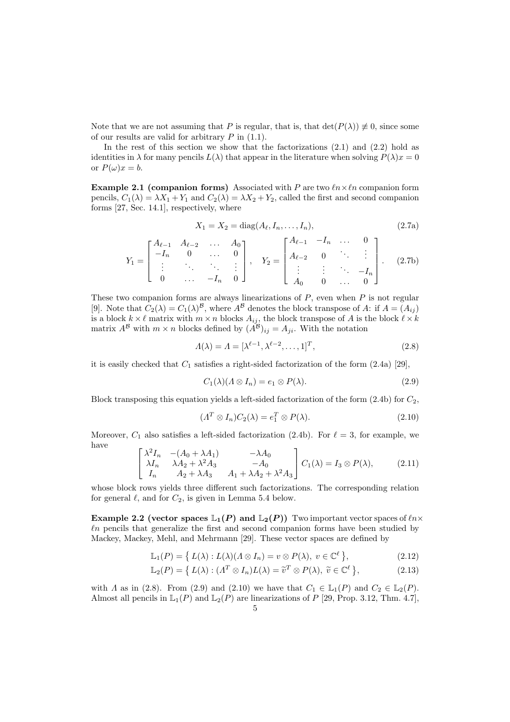Note that we are not assuming that P is regular, that is, that  $\det(P(\lambda)) \neq 0$ , since some of our results are valid for arbitrary  $P$  in  $(1.1)$ .

In the rest of this section we show that the factorizations  $(2.1)$  and  $(2.2)$  hold as identities in  $\lambda$  for many pencils  $L(\lambda)$  that appear in the literature when solving  $P(\lambda)x = 0$ or  $P(\omega)x = b$ .

**Example 2.1 (companion forms)** Associated with P are two  $ln \times ln$  companion form pencils,  $C_1(\lambda) = \lambda X_1 + Y_1$  and  $C_2(\lambda) = \lambda X_2 + Y_2$ , called the first and second companion forms [27, Sec. 14.1], respectively, where

$$
X_1 = X_2 = \text{diag}(A_\ell, I_n, \dots, I_n), \tag{2.7a}
$$

$$
Y_1 = \begin{bmatrix} A_{\ell-1} & A_{\ell-2} & \cdots & A_0 \\ -I_n & 0 & \cdots & 0 \\ \vdots & \ddots & \ddots & \vdots \\ 0 & \cdots & -I_n & 0 \end{bmatrix}, \quad Y_2 = \begin{bmatrix} A_{\ell-1} & -I_n & \cdots & 0 \\ A_{\ell-2} & 0 & \ddots & \vdots \\ \vdots & \vdots & \ddots & -I_n \\ A_0 & 0 & \cdots & 0 \end{bmatrix}.
$$
 (2.7b)

These two companion forms are always linearizations of  $P$ , even when  $P$  is not regular [9]. Note that  $C_2(\lambda) = C_1(\lambda)^8$ , where  $A^8$  denotes the block transpose of A: if  $A = (A_{ij})$ is a block  $k \times \ell$  matrix with  $m \times n$  blocks  $A_{ij}$ , the block transpose of A is the block  $\ell \times k$ matrix  $A^{\mathcal{B}}$  with  $m \times n$  blocks defined by  $(A^{\mathcal{B}})_{ij} = A_{ji}$ . With the notation

$$
\Lambda(\lambda) = \Lambda = [\lambda^{\ell-1}, \lambda^{\ell-2}, \dots, 1]^T, \tag{2.8}
$$

it is easily checked that  $C_1$  satisfies a right-sided factorization of the form  $(2.4a)$  [29],

$$
C_1(\lambda)(\Lambda \otimes I_n) = e_1 \otimes P(\lambda). \tag{2.9}
$$

Block transposing this equation yields a left-sided factorization of the form  $(2.4b)$  for  $C_2$ ,

$$
(\Lambda^T \otimes I_n)C_2(\lambda) = e_1^T \otimes P(\lambda).
$$
 (2.10)

Moreover,  $C_1$  also satisfies a left-sided factorization (2.4b). For  $\ell = 3$ , for example, we have

$$
\begin{bmatrix}\n\lambda^2 I_n & -(A_0 + \lambda A_1) & -\lambda A_0 \\
\lambda I_n & \lambda A_2 + \lambda^2 A_3 & -A_0 \\
I_n & A_2 + \lambda A_3 & A_1 + \lambda A_2 + \lambda^2 A_3\n\end{bmatrix} C_1(\lambda) = I_3 \otimes P(\lambda),
$$
\n(2.11)

whose block rows yields three different such factorizations. The corresponding relation for general  $\ell$ , and for  $C_2$ , is given in Lemma 5.4 below.

Example 2.2 (vector spaces  $\mathbb{L}_1(P)$  and  $\mathbb{L}_2(P)$ ) Two important vector spaces of  $\ell n \times$  $ln$  pencils that generalize the first and second companion forms have been studied by Mackey, Mackey, Mehl, and Mehrmann [29]. These vector spaces are defined by

$$
\mathbb{L}_1(P) = \{ L(\lambda) : L(\lambda)(\Lambda \otimes I_n) = v \otimes P(\lambda), \ v \in \mathbb{C}^{\ell} \},
$$
\n(2.12)

$$
\mathbb{L}_2(P) = \left\{ L(\lambda) : (A^T \otimes I_n)L(\lambda) = \tilde{v}^T \otimes P(\lambda), \ \tilde{v} \in \mathbb{C}^\ell \right\},\tag{2.13}
$$

with  $\Lambda$  as in (2.8). From (2.9) and (2.10) we have that  $C_1 \in \mathbb{L}_1(P)$  and  $C_2 \in \mathbb{L}_2(P)$ . Almost all pencils in  $\mathbb{L}_1(P)$  and  $\mathbb{L}_2(P)$  are linearizations of P [29, Prop. 3.12, Thm. 4.7],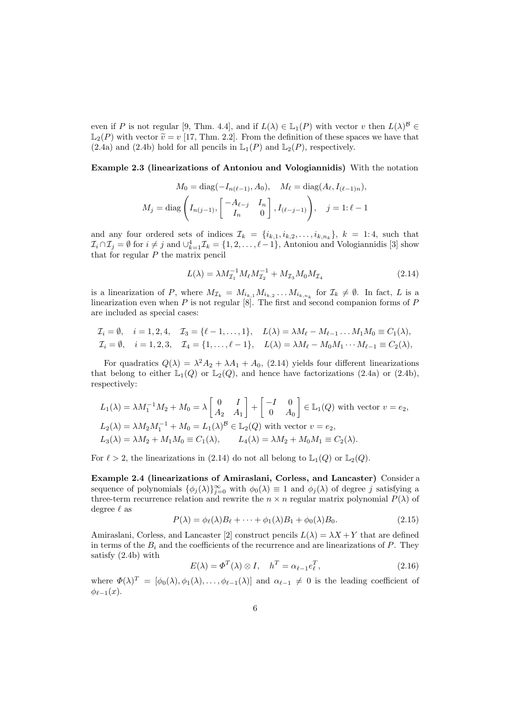even if P is not regular [9, Thm. 4.4], and if  $L(\lambda) \in \mathbb{L}_1(P)$  with vector v then  $L(\lambda)^{\mathcal{B}} \in$  $\mathbb{L}_2(P)$  with vector  $\widetilde{v} = v$  [17, Thm. 2.2]. From the definition of these spaces we have that (2.4a) and (2.4b) hold for all pencils in  $\mathbb{L}_1(P)$  and  $\mathbb{L}_2(P)$ , respectively.

Example 2.3 (linearizations of Antoniou and Vologiannidis) With the notation

$$
M_0 = \text{diag}(-I_{n(\ell-1)}, A_0), \quad M_{\ell} = \text{diag}(A_{\ell}, I_{(\ell-1)n}),
$$
  

$$
M_j = \text{diag}\left(I_{n(j-1)}, \begin{bmatrix} -A_{\ell-j} & I_n \\ I_n & 0 \end{bmatrix}, I_{(\ell-j-1)}\right), \quad j = 1: \ell - 1
$$

and any four ordered sets of indices  $\mathcal{I}_k = \{i_{k,1}, i_{k,2}, \ldots, i_{k,n_k}\}, k = 1, 4$ , such that  $\mathcal{I}_i \cap \mathcal{I}_j = \emptyset$  for  $i \neq j$  and  $\cup_{k=1}^4 \mathcal{I}_k = \{1, 2, \ldots, \ell-1\}$ , Antoniou and Vologiannidis [3] show that for regular  $P$  the matrix pencil

$$
L(\lambda) = \lambda M_{\mathcal{I}_1}^{-1} M_\ell M_{\mathcal{I}_2}^{-1} + M_{\mathcal{I}_3} M_0 M_{\mathcal{I}_4}
$$
\n(2.14)

is a linearization of P, where  $M_{\mathcal{I}_k} = M_{i_{k,1}} M_{i_{k,2}} \ldots M_{i_{k,n_k}}$  for  $\mathcal{I}_k \neq \emptyset$ . In fact, L is a linearization even when P is not regular [8]. The first and second companion forms of  $P$ are included as special cases:

$$
\mathcal{I}_i = \emptyset, \quad i = 1, 2, 4, \quad \mathcal{I}_3 = \{\ell - 1, \ldots, 1\}, \quad L(\lambda) = \lambda M_\ell - M_{\ell - 1} \ldots M_1 M_0 \equiv C_1(\lambda), \n\mathcal{I}_i = \emptyset, \quad i = 1, 2, 3, \quad \mathcal{I}_4 = \{1, \ldots, \ell - 1\}, \quad L(\lambda) = \lambda M_\ell - M_0 M_1 \cdots M_{\ell - 1} \equiv C_2(\lambda),
$$

For quadratics  $Q(\lambda) = \lambda^2 A_2 + \lambda A_1 + A_0$ , (2.14) yields four different linearizations that belong to either  $\mathbb{L}_1(Q)$  or  $\mathbb{L}_2(Q)$ , and hence have factorizations (2.4a) or (2.4b), respectively:

$$
L_1(\lambda) = \lambda M_1^{-1} M_2 + M_0 = \lambda \begin{bmatrix} 0 & I \\ A_2 & A_1 \end{bmatrix} + \begin{bmatrix} -I & 0 \\ 0 & A_0 \end{bmatrix} \in \mathbb{L}_1(Q) \text{ with vector } v = e_2,
$$
  
\n
$$
L_2(\lambda) = \lambda M_2 M_1^{-1} + M_0 = L_1(\lambda)^B \in \mathbb{L}_2(Q) \text{ with vector } v = e_2,
$$
  
\n
$$
L_3(\lambda) = \lambda M_2 + M_1 M_0 \equiv C_1(\lambda), \qquad L_4(\lambda) = \lambda M_2 + M_0 M_1 \equiv C_2(\lambda).
$$

For  $\ell > 2$ , the linearizations in (2.14) do not all belong to  $\mathbb{L}_1(Q)$  or  $\mathbb{L}_2(Q)$ .

Example 2.4 (linearizations of Amiraslani, Corless, and Lancaster) Consider a sequence of polynomials  $\{\phi_j(\lambda)\}_{j=0}^{\infty}$  with  $\phi_0(\lambda) \equiv 1$  and  $\phi_j(\lambda)$  of degree j satisfying a three-term recurrence relation and rewrite the  $n \times n$  regular matrix polynomial  $P(\lambda)$  of degree  $\ell$  as

$$
P(\lambda) = \phi_{\ell}(\lambda)B_{\ell} + \dots + \phi_1(\lambda)B_1 + \phi_0(\lambda)B_0.
$$
\n(2.15)

Amiraslani, Corless, and Lancaster [2] construct pencils  $L(\lambda) = \lambda X + Y$  that are defined in terms of the  $B_i$  and the coefficients of the recurrence and are linearizations of P. They satisfy (2.4b) with

$$
E(\lambda) = \Phi^T(\lambda) \otimes I, \quad h^T = \alpha_{\ell - 1} e_{\ell}^T,
$$
\n(2.16)

where  $\Phi(\lambda)^T = [\phi_0(\lambda), \phi_1(\lambda), \dots, \phi_{\ell-1}(\lambda)]$  and  $\alpha_{\ell-1} \neq 0$  is the leading coefficient of  $\phi_{\ell-1}(x)$ .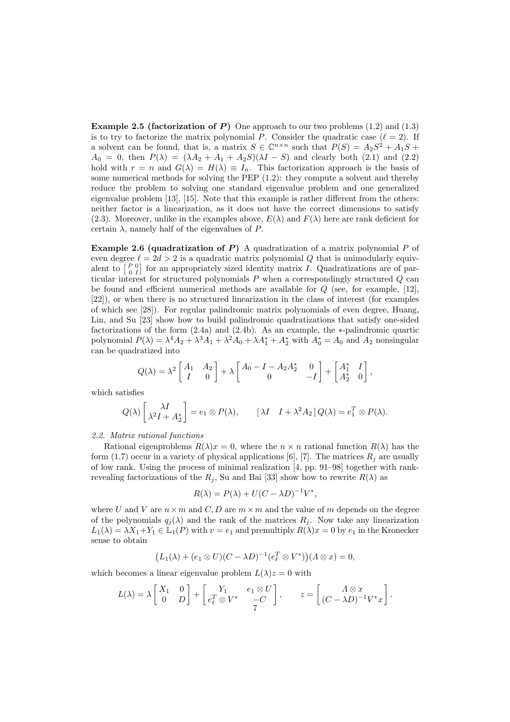**Example 2.5 (factorization of P)** One approach to our two problems  $(1.2)$  and  $(1.3)$ is to try to factorize the matrix polynomial P. Consider the quadratic case  $(\ell = 2)$ . If a solvent can be found, that is, a matrix  $S \in \mathbb{C}^{n \times n}$  such that  $P(S) = A_2S^2 + A_1S +$  $A_0 = 0$ , then  $P(\lambda) = (\lambda A_2 + A_1 + A_2 S)(\lambda I - S)$  and clearly both (2.1) and (2.2) hold with  $r = n$  and  $G(\lambda) = H(\lambda) \equiv I_n$ . This factorization approach is the basis of some numerical methods for solving the PEP (1.2): they compute a solvent and thereby reduce the problem to solving one standard eigenvalue problem and one generalized eigenvalue problem [13], [15]. Note that this example is rather different from the others: neither factor is a linearization, as it does not have the correct dimensions to satisfy (2.3). Moreover, unlike in the examples above,  $E(\lambda)$  and  $F(\lambda)$  here are rank deficient for certain  $\lambda$ , namely half of the eigenvalues of P.

Example 2.6 (quadratization of  $P$ ) A quadratization of a matrix polynomial  $P$  of even degree  $\ell = 2d > 2$  is a quadratic matrix polynomial Q that is unimodularly equivalent to  $\begin{bmatrix} P & 0 \\ 0 & I \end{bmatrix}$  for an appropriately sized identity matrix I. Quadratizations are of particular interest for structured polynomials P when a correspondingly structured Q can be found and efficient numerical methods are available for  $Q$  (see, for example, [12], [22]), or when there is no structured linearization in the class of interest (for examples of which see [28]). For regular palindromic matrix polynomials of even degree, Huang, Lin, and Su [23] show how to build palindromic quadratizations that satisfy one-sided factorizations of the form (2.4a) and (2.4b). As an example, the ∗-palindromic quartic polynomial  $P(\lambda) = \lambda^4 A_2 + \lambda^3 A_1 + \lambda^2 A_0 + \lambda A_1^* + A_2^*$  with  $A_0^* = A_0$  and  $A_2$  nonsingular can be quadratized into

$$
Q(\lambda) = \lambda^2 \begin{bmatrix} A_1 & A_2 \\ I & 0 \end{bmatrix} + \lambda \begin{bmatrix} A_0 - I - A_2 A_2^* & 0 \\ 0 & -I \end{bmatrix} + \begin{bmatrix} A_1^* & I \\ A_2^* & 0 \end{bmatrix},
$$

which satisfies

$$
Q(\lambda) \begin{bmatrix} \lambda I \\ \lambda^2 I + A_2^* \end{bmatrix} = e_1 \otimes P(\lambda), \qquad [\lambda I \quad I + \lambda^2 A_2] Q(\lambda) = e_1^T \otimes P(\lambda).
$$

2.2. Matrix rational functions

Rational eigenproblems  $R(\lambda)x = 0$ , where the  $n \times n$  rational function  $R(\lambda)$  has the form (1.7) occur in a variety of physical applications [6], [7]. The matrices  $R_i$  are usually of low rank. Using the process of minimal realization [4, pp. 91–98] together with rankrevealing factorizations of the  $R_j$ , Su and Bai [33] show how to rewrite  $R(\lambda)$  as

$$
R(\lambda) = P(\lambda) + U(C - \lambda D)^{-1}V^*,
$$

where U and V are  $n \times m$  and C, D are  $m \times m$  and the value of m depends on the degree of the polynomials  $q_i(\lambda)$  and the rank of the matrices  $R_i$ . Now take any linearization  $L_1(\lambda) = \lambda X_1 + Y_1 \in \mathbb{L}_1(P)$  with  $v = e_1$  and premultiply  $R(\lambda)x = 0$  by  $e_1$  in the Kronecker sense to obtain

$$
(L_1(\lambda) + (e_1 \otimes U)(C - \lambda D)^{-1}(e_{\ell}^T \otimes V^*)) (A \otimes x) = 0,
$$

which becomes a linear eigenvalue problem  $L(\lambda)z = 0$  with

$$
L(\lambda) = \lambda \begin{bmatrix} X_1 & 0 \\ 0 & D \end{bmatrix} + \begin{bmatrix} Y_1 & e_1 \otimes U \\ e_\ell^T \otimes V^* & -C \end{bmatrix}, \qquad z = \begin{bmatrix} \Lambda \otimes x \\ (C - \lambda D)^{-1} V^* x \end{bmatrix}.
$$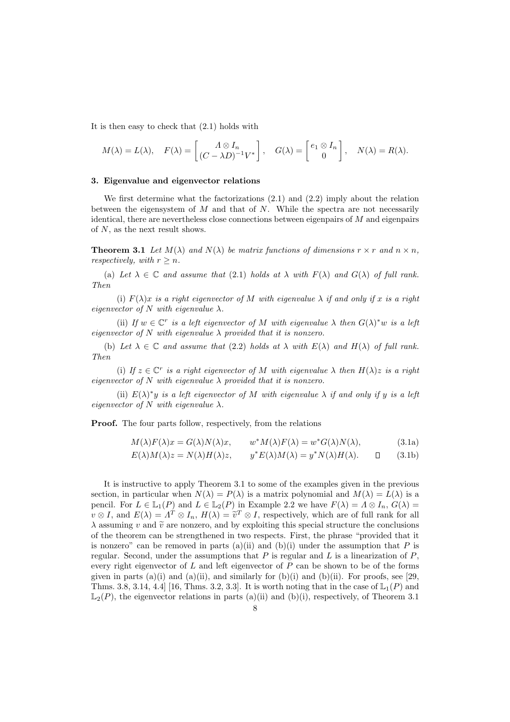It is then easy to check that (2.1) holds with

$$
M(\lambda) = L(\lambda), \quad F(\lambda) = \begin{bmatrix} \Lambda \otimes I_n \\ (C - \lambda D)^{-1} V^* \end{bmatrix}, \quad G(\lambda) = \begin{bmatrix} e_1 \otimes I_n \\ 0 \end{bmatrix}, \quad N(\lambda) = R(\lambda).
$$

#### 3. Eigenvalue and eigenvector relations

We first determine what the factorizations (2.1) and (2.2) imply about the relation between the eigensystem of  $M$  and that of  $N$ . While the spectra are not necessarily identical, there are nevertheless close connections between eigenpairs of M and eigenpairs of  $N$ , as the next result shows.

**Theorem 3.1** Let  $M(\lambda)$  and  $N(\lambda)$  be matrix functions of dimensions  $r \times r$  and  $n \times n$ . respectively, with  $r > n$ .

(a) Let  $\lambda \in \mathbb{C}$  and assume that (2.1) holds at  $\lambda$  with  $F(\lambda)$  and  $G(\lambda)$  of full rank. Then

(i)  $F(\lambda)x$  is a right eigenvector of M with eigenvalue  $\lambda$  if and only if x is a right eigenvector of N with eigenvalue  $\lambda$ .

(ii) If  $w \in \mathbb{C}^r$  is a left eigenvector of M with eigenvalue  $\lambda$  then  $G(\lambda)^*w$  is a left eigenvector of N with eigenvalue  $\lambda$  provided that it is nonzero.

(b) Let  $\lambda \in \mathbb{C}$  and assume that (2.2) holds at  $\lambda$  with  $E(\lambda)$  and  $H(\lambda)$  of full rank. Then

(i) If  $z \in \mathbb{C}^r$  is a right eigenvector of M with eigenvalue  $\lambda$  then  $H(\lambda)z$  is a right eigenvector of N with eigenvalue  $\lambda$  provided that it is nonzero.

(ii)  $E(\lambda)^*y$  is a left eigenvector of M with eigenvalue  $\lambda$  if and only if y is a left eigenvector of  $N$  with eigenvalue  $\lambda$ .

Proof. The four parts follow, respectively, from the relations

$$
M(\lambda)F(\lambda)x = G(\lambda)N(\lambda)x, \qquad w^*M(\lambda)F(\lambda) = w^*G(\lambda)N(\lambda), \tag{3.1a}
$$

$$
E(\lambda)M(\lambda)z = N(\lambda)H(\lambda)z, \qquad y^*E(\lambda)M(\lambda) = y^*N(\lambda)H(\lambda). \qquad \Box \qquad (3.1b)
$$

It is instructive to apply Theorem 3.1 to some of the examples given in the previous section, in particular when  $N(\lambda) = P(\lambda)$  is a matrix polynomial and  $M(\lambda) = L(\lambda)$  is a pencil. For  $L \in \mathbb{L}_1(P)$  and  $L \in \mathbb{L}_2(P)$  in Example 2.2 we have  $F(\lambda) = \Lambda \otimes I_n$ ,  $G(\lambda) =$  $v \otimes I$ , and  $E(\lambda) = \Lambda^T \otimes I_n$ ,  $H(\lambda) = \tilde{v}^T \otimes I$ , respectively, which are of full rank for all  $\lambda$  assuming v and  $\tilde{v}$  are nonzero, and by exploiting this special structure the conclusions of the theorem can be strengthened in two respects. First, the phrase "provided that it is nonzero" can be removed in parts (a)(ii) and (b)(i) under the assumption that  $P$  is regular. Second, under the assumptions that  $P$  is regular and  $L$  is a linearization of  $P$ , every right eigenvector of  $L$  and left eigenvector of  $P$  can be shown to be of the forms given in parts (a)(i) and (a)(ii), and similarly for (b)(i) and (b)(ii). For proofs, see [29, Thms. 3.8, 3.14, 4.4 [16, Thms. 3.2, 3.3]. It is worth noting that in the case of  $\mathbb{L}_1(P)$  and  $\mathbb{L}_2(P)$ , the eigenvector relations in parts (a)(ii) and (b)(i), respectively, of Theorem 3.1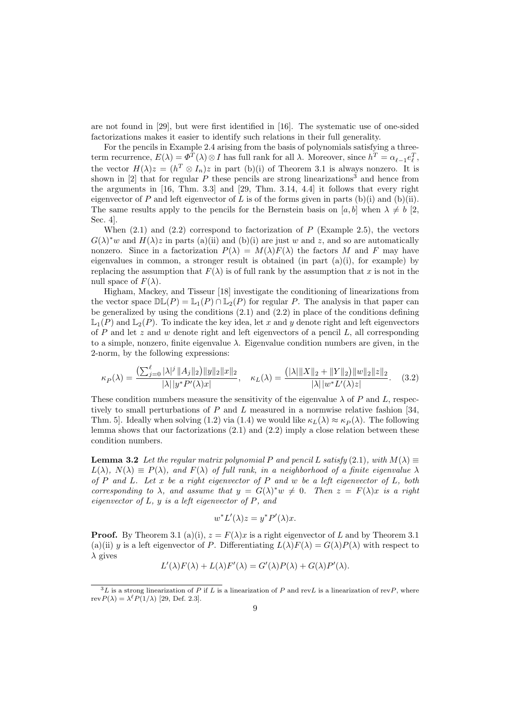are not found in [29], but were first identified in [16]. The systematic use of one-sided factorizations makes it easier to identify such relations in their full generality.

For the pencils in Example 2.4 arising from the basis of polynomials satisfying a threeterm recurrence,  $E(\lambda) = \Phi^T(\lambda) \otimes I$  has full rank for all  $\lambda$ . Moreover, since  $h^T = \alpha_{\ell-1} e_{\ell}^T$ , the vector  $H(\lambda)z = (h^T \otimes I_n)z$  in part (b)(i) of Theorem 3.1 is always nonzero. It is shown in [2] that for regular  $P$  these pencils are strong linearizations<sup>3</sup> and hence from the arguments in [16, Thm. 3.3] and [29, Thm. 3.14, 4.4] it follows that every right eigenvector of P and left eigenvector of L is of the forms given in parts (b)(i) and (b)(ii). The same results apply to the pencils for the Bernstein basis on [a, b] when  $\lambda \neq b$  [2, Sec. 4].

When  $(2.1)$  and  $(2.2)$  correspond to factorization of P (Example 2.5), the vectors  $G(\lambda)^* w$  and  $H(\lambda) z$  in parts (a)(ii) and (b)(i) are just w and z, and so are automatically nonzero. Since in a factorization  $P(\lambda) = M(\lambda)F(\lambda)$  the factors M and F may have eigenvalues in common, a stronger result is obtained (in part  $(a)(i)$ , for example) by replacing the assumption that  $F(\lambda)$  is of full rank by the assumption that x is not in the null space of  $F(\lambda)$ .

Higham, Mackey, and Tisseur [18] investigate the conditioning of linearizations from the vector space  $\mathbb{DL}(P) = \mathbb{L}_1(P) \cap \mathbb{L}_2(P)$  for regular P. The analysis in that paper can be generalized by using the conditions (2.1) and (2.2) in place of the conditions defining  $\mathbb{L}_1(P)$  and  $\mathbb{L}_2(P)$ . To indicate the key idea, let x and y denote right and left eigenvectors of  $P$  and let  $z$  and  $w$  denote right and left eigenvectors of a pencil  $L$ , all corresponding to a simple, nonzero, finite eigenvalue  $\lambda$ . Eigenvalue condition numbers are given, in the 2-norm, by the following expressions:

$$
\kappa_P(\lambda) = \frac{\left(\sum_{j=0}^{\ell} |\lambda|^j \|A_j\|_2\right) \|y\|_2 \|x\|_2}{|\lambda| |y^* P'(\lambda) x|}, \quad \kappa_L(\lambda) = \frac{\left(|\lambda| \|X\|_2 + \|Y\|_2\right) \|w\|_2 \|z\|_2}{|\lambda| |w^* L'(\lambda) z|}. \tag{3.2}
$$

These condition numbers measure the sensitivity of the eigenvalue  $\lambda$  of P and L, respectively to small perturbations of  $P$  and  $L$  measured in a normwise relative fashion [34, Thm. 5. Ideally when solving (1.2) via (1.4) we would like  $\kappa_L(\lambda) \approx \kappa_P(\lambda)$ . The following lemma shows that our factorizations (2.1) and (2.2) imply a close relation between these condition numbers.

**Lemma 3.2** Let the regular matrix polynomial P and pencil L satisfy (2.1), with  $M(\lambda) \equiv$  $L(\lambda)$ ,  $N(\lambda) \equiv P(\lambda)$ , and  $F(\lambda)$  of full rank, in a neighborhood of a finite eigenvalue  $\lambda$ of  $P$  and  $L$ . Let  $x$  be a right eigenvector of  $P$  and  $w$  be a left eigenvector of  $L$ , both corresponding to  $\lambda$ , and assume that  $y = G(\lambda)^* w \neq 0$ . Then  $z = F(\lambda)x$  is a right eigenvector of  $L$ ,  $y$  is a left eigenvector of  $P$ , and

$$
w^* L'(\lambda) z = y^* P'(\lambda) x.
$$

**Proof.** By Theorem 3.1 (a)(i),  $z = F(\lambda)x$  is a right eigenvector of L and by Theorem 3.1 (a)(ii) y is a left eigenvector of P. Differentiating  $L(\lambda)F(\lambda) = G(\lambda)P(\lambda)$  with respect to  $\lambda$  gives

$$
L'(\lambda)F(\lambda) + L(\lambda)F'(\lambda) = G'(\lambda)P(\lambda) + G(\lambda)P'(\lambda).
$$

 ${}^{3}L$  is a strong linearization of P if L is a linearization of P and revL is a linearization of revP, where rev $P(\lambda) = \lambda^{\ell} P(1/\lambda)$  [29, Def. 2.3].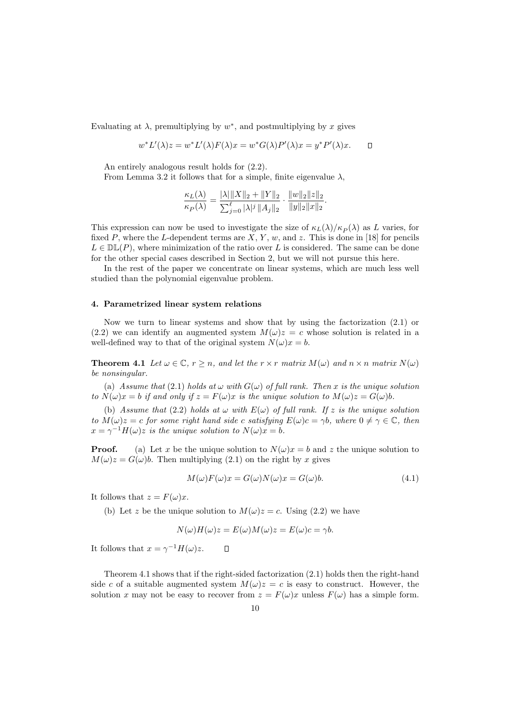Evaluating at  $\lambda$ , premultiplying by  $w^*$ , and postmultiplying by x gives

$$
w^*L'(\lambda)z = w^*L'(\lambda)F(\lambda)x = w^*G(\lambda)P'(\lambda)x = y^*P'(\lambda)x.
$$

An entirely analogous result holds for (2.2).

From Lemma 3.2 it follows that for a simple, finite eigenvalue  $\lambda$ ,

$$
\frac{\kappa_L(\lambda)}{\kappa_P(\lambda)} = \frac{|\lambda| \|X\|_2 + \|Y\|_2}{\sum_{j=0}^{\ell} |\lambda|^j \|A_j\|_2} \cdot \frac{\|w\|_2 \|z\|_2}{\|y\|_2 \|x\|_2}.
$$

This expression can now be used to investigate the size of  $\kappa_L(\lambda)/\kappa_P(\lambda)$  as L varies, for fixed P, where the L-dependent terms are  $X, Y, w$ , and z. This is done in [18] for pencils  $L \in \mathbb{DL}(P)$ , where minimization of the ratio over L is considered. The same can be done for the other special cases described in Section 2, but we will not pursue this here.

In the rest of the paper we concentrate on linear systems, which are much less well studied than the polynomial eigenvalue problem.

#### 4. Parametrized linear system relations

Now we turn to linear systems and show that by using the factorization (2.1) or (2.2) we can identify an augmented system  $M(\omega)z = c$  whose solution is related in a well-defined way to that of the original system  $N(\omega)x = b$ .

**Theorem 4.1** Let  $\omega \in \mathbb{C}$ ,  $r > n$ , and let the  $r \times r$  matrix  $M(\omega)$  and  $n \times n$  matrix  $N(\omega)$ be nonsingular.

(a) Assume that (2.1) holds at  $\omega$  with  $G(\omega)$  of full rank. Then x is the unique solution to  $N(\omega)x = b$  if and only if  $z = F(\omega)x$  is the unique solution to  $M(\omega)z = G(\omega)b$ .

(b) Assume that (2.2) holds at  $\omega$  with  $E(\omega)$  of full rank. If z is the unique solution to  $M(\omega)z = c$  for some right hand side c satisfying  $E(\omega)c = \gamma b$ , where  $0 \neq \gamma \in \mathbb{C}$ , then  $x = \gamma^{-1} H(\omega)z$  is the unique solution to  $N(\omega)x = b$ .

**Proof.** (a) Let x be the unique solution to  $N(\omega)x = b$  and z the unique solution to  $M(\omega)z = G(\omega)b$ . Then multiplying (2.1) on the right by x gives

$$
M(\omega)F(\omega)x = G(\omega)N(\omega)x = G(\omega)b.
$$
\n(4.1)

It follows that  $z = F(\omega)x$ .

(b) Let z be the unique solution to  $M(\omega)z = c$ . Using (2.2) we have

$$
N(\omega)H(\omega)z = E(\omega)M(\omega)z = E(\omega)c = \gamma b.
$$

It follows that  $x = \gamma^{-1} H(\omega) z$ .  $\Box$ 

Theorem 4.1 shows that if the right-sided factorization (2.1) holds then the right-hand side c of a suitable augmented system  $M(\omega)z = c$  is easy to construct. However, the solution x may not be easy to recover from  $z = F(\omega)x$  unless  $F(\omega)$  has a simple form.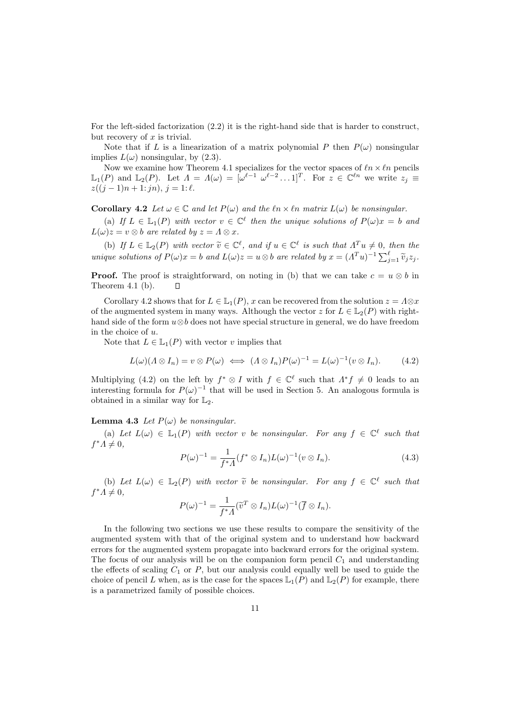For the left-sided factorization (2.2) it is the right-hand side that is harder to construct, but recovery of  $x$  is trivial.

Note that if L is a linearization of a matrix polynomial P then  $P(\omega)$  nonsingular implies  $L(\omega)$  nonsingular, by (2.3).

Now we examine how Theorem 4.1 specializes for the vector spaces of  $ln \times ln$  pencils  $\mathbb{L}_1(P)$  and  $\mathbb{L}_2(P)$ . Let  $\Lambda = \Lambda(\omega) = [\omega^{\ell-1} \ \omega^{\ell-2} \dots 1]^T$ . For  $z \in \mathbb{C}^{\ell n}$  we write  $z_j \equiv$  $z((j-1)n+1:jn), j=1:\ell.$ 

Corollary 4.2 Let  $\omega \in \mathbb{C}$  and let  $P(\omega)$  and the  $\ell n \times \ell n$  matrix  $L(\omega)$  be nonsingular.

(a) If  $L \in \mathbb{L}_1(P)$  with vector  $v \in \mathbb{C}^{\ell}$  then the unique solutions of  $P(\omega)x = b$  and  $L(\omega)z = v \otimes b$  are related by  $z = \Lambda \otimes x$ .

(b) If  $L \in \mathbb{L}_2(P)$  with vector  $\widetilde{v} \in \mathbb{C}^{\ell}$ , and if  $u \in \mathbb{C}^{\ell}$  is such that  $\Lambda^T u \neq 0$ , then the unique solutions of  $P(\omega)x = b$  and  $L(\omega)z = u \otimes b$  are related by  $x = (A^T u)^{-1} \sum_{j=1}^{\ell} \widetilde{v}_j z_j$ .

**Proof.** The proof is straightforward, on noting in (b) that we can take  $c = u \otimes b$  in Theorem 4.1 (b). Theorem 4.1 (b).

Corollary 4.2 shows that for  $L \in \mathbb{L}_1(P)$ , x can be recovered from the solution  $z = \Lambda \otimes x$ of the augmented system in many ways. Although the vector z for  $L \in L_2(P)$  with righthand side of the form  $u \otimes b$  does not have special structure in general, we do have freedom in the choice of u.

Note that  $L \in \mathbb{L}_1(P)$  with vector v implies that

$$
L(\omega)(\Lambda \otimes I_n) = v \otimes P(\omega) \iff (\Lambda \otimes I_n)P(\omega)^{-1} = L(\omega)^{-1}(v \otimes I_n).
$$
 (4.2)

Multiplying (4.2) on the left by  $f^* \otimes I$  with  $f \in \mathbb{C}^{\ell}$  such that  $\Lambda^* f \neq 0$  leads to an interesting formula for  $P(\omega)^{-1}$  that will be used in Section 5. An analogous formula is obtained in a similar way for  $\mathbb{L}_2$ .

#### **Lemma 4.3** Let  $P(\omega)$  be nonsingular.

(a) Let  $L(\omega) \in \mathbb{L}_1(P)$  with vector v be nonsingular. For any  $f \in \mathbb{C}^{\ell}$  such that  $f^*A \neq 0,$ 

$$
P(\omega)^{-1} = \frac{1}{f^*A} (f^* \otimes I_n) L(\omega)^{-1} (v \otimes I_n).
$$
 (4.3)

(b) Let  $L(\omega) \in \mathbb{L}_2(P)$  with vector  $\tilde{v}$  be nonsingular. For any  $f \in \mathbb{C}^{\ell}$  such that  $f^*A \neq 0,$ 

$$
P(\omega)^{-1} = \frac{1}{f^*A} (\widetilde{v}^T \otimes I_n) L(\omega)^{-1} (\overline{f} \otimes I_n).
$$

In the following two sections we use these results to compare the sensitivity of the augmented system with that of the original system and to understand how backward errors for the augmented system propagate into backward errors for the original system. The focus of our analysis will be on the companion form pencil  $C_1$  and understanding the effects of scaling  $C_1$  or P, but our analysis could equally well be used to guide the choice of pencil L when, as is the case for the spaces  $\mathbb{L}_1(P)$  and  $\mathbb{L}_2(P)$  for example, there is a parametrized family of possible choices.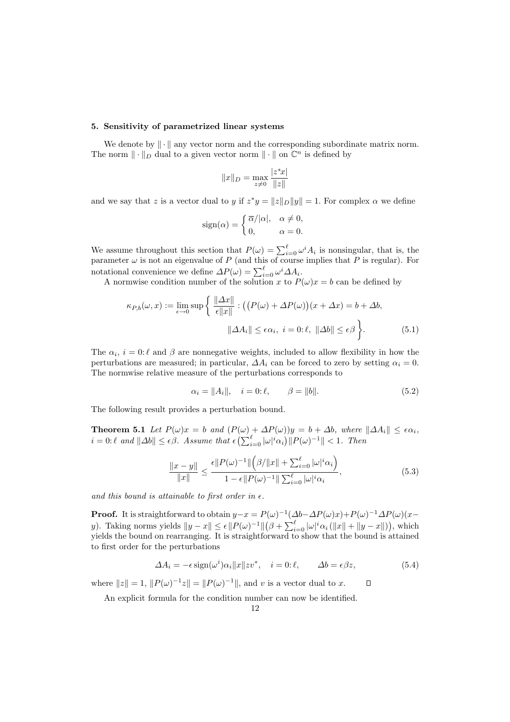#### 5. Sensitivity of parametrized linear systems

We denote by  $\|\cdot\|$  any vector norm and the corresponding subordinate matrix norm. The norm  $\|\cdot\|_D$  dual to a given vector norm  $\|\cdot\|$  on  $\mathbb{C}^n$  is defined by

$$
||x||_D = \max_{z \neq 0} \frac{|z^*x|}{||z||}
$$

and we say that z is a vector dual to y if  $z^*y = ||z||_D ||y|| = 1$ . For complex  $\alpha$  we define

$$
sign(\alpha) = \begin{cases} \overline{\alpha}/|\alpha|, & \alpha \neq 0, \\ 0, & \alpha = 0. \end{cases}
$$

We assume throughout this section that  $P(\omega) = \sum_{i=0}^{\ell} \omega^{i} A_{i}$  is nonsingular, that is, the parameter  $\omega$  is not an eigenvalue of P (and this of course implies that P is regular). For notational convenience we define  $\Delta P(\omega) = \sum_{i=0}^{\ell} \omega^i \Delta A_i$ .

A normwise condition number of the solution x to  $P(\omega)x = b$  can be defined by

$$
\kappa_{P,b}(\omega, x) := \lim_{\epsilon \to 0} \sup \left\{ \frac{\|\Delta x\|}{\epsilon \|x\|} : ((P(\omega) + \Delta P(\omega))(x + \Delta x) = b + \Delta b, \|\Delta A_i\| \le \epsilon \alpha_i, \ i = 0 : \ell, \ \|\Delta b\| \le \epsilon \beta \right\}.
$$
\n(5.1)

The  $\alpha_i$ ,  $i = 0$ :  $\ell$  and  $\beta$  are nonnegative weights, included to allow flexibility in how the perturbations are measured; in particular,  $\Delta A_i$  can be forced to zero by setting  $\alpha_i = 0$ . The normwise relative measure of the perturbations corresponds to

$$
\alpha_i = \|A_i\|, \quad i = 0:\ell, \qquad \beta = \|b\|.
$$
 (5.2)

The following result provides a perturbation bound.

**Theorem 5.1** Let  $P(\omega)x = b$  and  $(P(\omega) + \Delta P(\omega))y = b + \Delta b$ , where  $\|\Delta A_i\| \leq \epsilon \alpha_i$ ,  $i = 0: \ell \text{ and } ||\Delta b|| \leq \epsilon \beta.$  Assume that  $\epsilon \left( \sum_{i=0}^{\ell} |\omega|^i \alpha_i \right) ||P(\omega)^{-1}|| < 1.$  Then

$$
\frac{\|x - y\|}{\|x\|} \le \frac{\epsilon \|P(\omega)^{-1}\| \left(\beta / \|x\| + \sum_{i=0}^{\ell} |\omega|^i \alpha_i\right)}{1 - \epsilon \|P(\omega)^{-1}\| \sum_{i=0}^{\ell} |\omega|^i \alpha_i},\tag{5.3}
$$

and this bound is attainable to first order in  $\epsilon$ .

**Proof.** It is straightforward to obtain  $y-x = P(\omega)^{-1}(\Delta b - \Delta P(\omega)x) + P(\omega)^{-1}\Delta P(\omega)(x-\omega)x$ y). Taking norms yields  $||y - x|| \le \epsilon ||P(\omega)^{-1}||(\beta + \sum_{i=0}^{\ell} |\omega|^i \alpha_i(||x|| + ||y - x||)),$  which yields the bound on rearranging. It is straightforward to show that the bound is attained to first order for the perturbations

$$
\Delta A_i = -\epsilon \operatorname{sign}(\omega^i) \alpha_i ||x|| z v^*, \quad i = 0; \ell, \qquad \Delta b = \epsilon \beta z,
$$
\n(5.4)

where  $||z|| = 1$ ,  $||P(\omega)^{-1}z|| = ||P(\omega)^{-1}||$ , and v is a vector dual to x.  $\Box$ 

An explicit formula for the condition number can now be identified.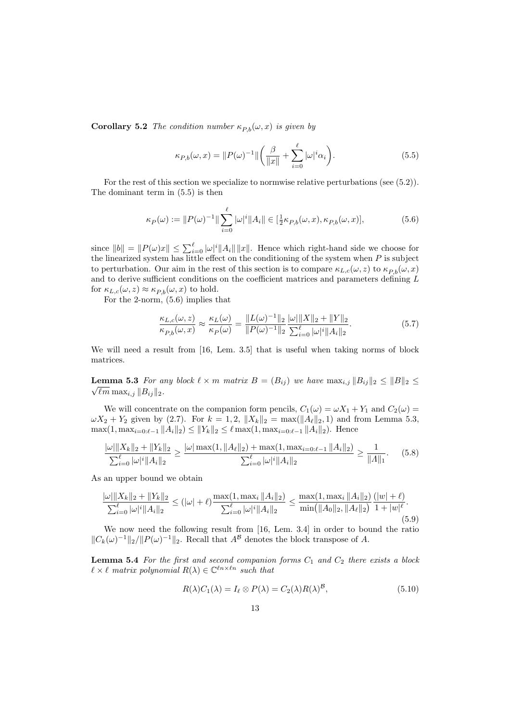**Corollary 5.2** The condition number  $\kappa_{P,b}(\omega, x)$  is given by

$$
\kappa_{P,b}(\omega, x) = ||P(\omega)^{-1}|| \left( \frac{\beta}{||x||} + \sum_{i=0}^{\ell} |\omega|^i \alpha_i \right). \tag{5.5}
$$

For the rest of this section we specialize to normwise relative perturbations (see (5.2)). The dominant term in (5.5) is then

$$
\kappa_P(\omega) := \|P(\omega)^{-1}\| \sum_{i=0}^{\ell} |\omega|^i \|A_i\| \in [\frac{1}{2} \kappa_{P,b}(\omega, x), \kappa_{P,b}(\omega, x)],\tag{5.6}
$$

since  $||b|| = ||P(\omega)x|| \le \sum_{i=0}^{\ell} |\omega|^i ||A_i|| ||x||$ . Hence which right-hand side we choose for the linearized system has little effect on the conditioning of the system when  $P$  is subject to perturbation. Our aim in the rest of this section is to compare  $\kappa_{L,c}(\omega, z)$  to  $\kappa_{P,b}(\omega, x)$ and to derive sufficient conditions on the coefficient matrices and parameters defining L for  $\kappa_{L,c}(\omega, z) \approx \kappa_{P,b}(\omega, x)$  to hold.

For the 2-norm, (5.6) implies that

$$
\frac{\kappa_{L,c}(\omega, z)}{\kappa_{P,b}(\omega, x)} \approx \frac{\kappa_L(\omega)}{\kappa_P(\omega)} = \frac{\|L(\omega)^{-1}\|_2}{\|P(\omega)^{-1}\|_2} \frac{\|\omega\| \|X\|_2 + \|Y\|_2}{\sum_{i=0}^{\ell} |\omega|^i \|A_i\|_2}.
$$
\n(5.7)

We will need a result from [16, Lem. 3.5] that is useful when taking norms of block matrices.

**Lemma 5.3** For any block  $\ell \times m$  matrix  $B = (B_{ij})$  we have  $\max_{i,j} ||B_{ij}||_2 \leq ||B||_2 \leq$  $\sqrt{\ell m} \max_{i,j} \|B_{ij}\|_2.$ 

We will concentrate on the companion form pencils,  $C_1(\omega) = \omega X_1 + Y_1$  and  $C_2(\omega) =$  $\omega X_2 + Y_2$  given by (2.7). For  $k = 1, 2, ||X_k||_2 = \max(||A_\ell||_2, 1)$  and from Lemma 5.3,  $\max(1, \max_{i=0:\ell-1} ||A_i||_2) \le ||Y_k||_2 \le \ell \max(1, \max_{i=0:\ell-1} ||A_i||_2)$ . Hence

$$
\frac{\|\omega\|X_k\|_2 + \|Y_k\|_2}{\sum_{i=0}^\ell |\omega|^i \|A_i\|_2} \ge \frac{\|\omega\| \max(1, \|A_\ell\|_2) + \max(1, \max_{i=0:\ell-1} \|A_i\|_2)}{\sum_{i=0}^\ell |\omega|^i \|A_i\|_2} \ge \frac{1}{\|A\|_1}.\tag{5.8}
$$

As an upper bound we obtain

$$
\frac{\|\omega\| |X_k\|_2 + \|Y_k\|_2}{\sum_{i=0}^\ell |\omega|^i \|A_i\|_2} \leq (|\omega| + \ell) \frac{\max(1, \max_i \|A_i\|_2)}{\sum_{i=0}^\ell |\omega|^i \|A_i\|_2} \leq \frac{\max(1, \max_i \|A_i\|_2) (|w| + \ell)}{\min(\|A_0\|_2, \|A_\ell\|_2)} \frac{(|w| + \ell)}{1 + |w|^{\ell}}.
$$
\n(5.9)

We now need the following result from [16, Lem. 3.4] in order to bound the ratio  $||C_k(\omega)^{-1}||_2/||P(\omega)^{-1}||_2$ . Recall that  $A^{\mathcal{B}}$  denotes the block transpose of A.

**Lemma 5.4** For the first and second companion forms  $C_1$  and  $C_2$  there exists a block  $\ell \times \ell$  matrix polynomial  $R(\lambda) \in \mathbb{C}^{\ell n \times \ell n}$  such that

$$
R(\lambda)C_1(\lambda) = I_\ell \otimes P(\lambda) = C_2(\lambda)R(\lambda)^{\mathcal{B}},\tag{5.10}
$$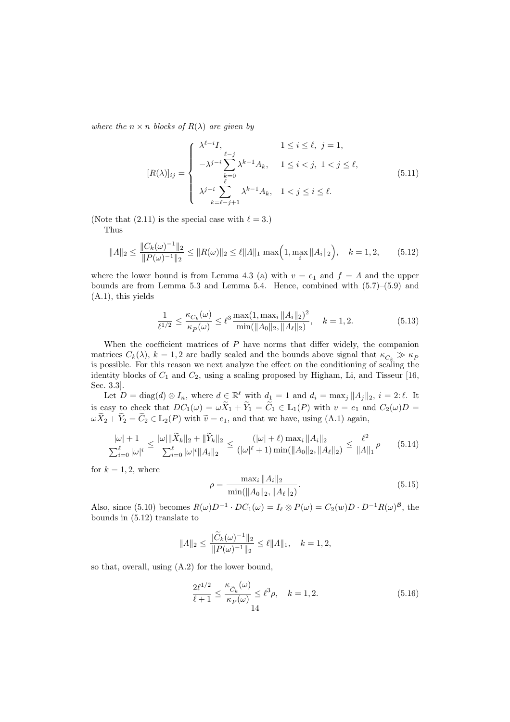where the  $n \times n$  blocks of  $R(\lambda)$  are given by

$$
[R(\lambda)]_{ij} = \begin{cases} \lambda^{\ell-i} I, & 1 \le i \le \ell, j = 1, \\ -\lambda^{j-i} \sum_{k=0}^{\ell-j} \lambda^{k-1} A_k, & 1 \le i < j, 1 < j \le \ell, \\ \lambda^{j-i} \sum_{k=\ell-j+1}^{\ell} \lambda^{k-1} A_k, & 1 < j \le i \le \ell. \end{cases}
$$
(5.11)

(Note that (2.11) is the special case with  $\ell = 3$ .) Thus

$$
||A||_2 \le \frac{||C_k(\omega)^{-1}||_2}{||P(\omega)^{-1}||_2} \le ||R(\omega)||_2 \le \ell ||A||_1 \max\left(1, \max_i ||A_i||_2\right), \quad k = 1, 2, \tag{5.12}
$$

where the lower bound is from Lemma 4.3 (a) with  $v = e_1$  and  $f = \Lambda$  and the upper bounds are from Lemma 5.3 and Lemma 5.4. Hence, combined with (5.7)–(5.9) and (A.1), this yields

$$
\frac{1}{\ell^{1/2}} \le \frac{\kappa_{C_k}(\omega)}{\kappa_P(\omega)} \le \ell^3 \frac{\max(1, \max_i \|A_i\|_2)^2}{\min(\|A_0\|_2, \|A_\ell\|_2)}, \quad k = 1, 2. \tag{5.13}
$$

When the coefficient matrices of  $P$  have norms that differ widely, the companion matrices  $C_k(\lambda)$ ,  $k = 1, 2$  are badly scaled and the bounds above signal that  $\kappa_{C_k} \gg \kappa_P$ is possible. For this reason we next analyze the effect on the conditioning of scaling the identity blocks of  $C_1$  and  $C_2$ , using a scaling proposed by Higham, Li, and Tisseur [16, Sec. 3.3].

Let  $D = \text{diag}(d) \otimes I_n$ , where  $d \in \mathbb{R}^{\ell}$  with  $d_1 = 1$  and  $d_i = \max_j ||A_j||_2$ ,  $i = 2:\ell$ . It is easy to check that  $DC_1(\omega) = \omega \widetilde{X}_1 + \widetilde{Y}_1 = \widetilde{C}_1 \in \mathbb{L}_1(P)$  with  $v = e_1$  and  $C_2(\omega)D =$  $\omega \widetilde{X}_2 + \widetilde{Y}_2 = \widetilde{C}_2 \in \mathbb{L}_2(P)$  with  $\widetilde{v} = e_1$ , and that we have, using (A.1) again,

$$
\frac{|\omega|+1}{\sum_{i=0}^{\ell} |\omega|^i} \le \frac{|\omega| \|\widetilde{X}_k\|_2 + \|\widetilde{Y}_k\|_2}{\sum_{i=0}^{\ell} |\omega|^i \|A_i\|_2} \le \frac{(|\omega|+\ell) \max_i \|A_i\|_2}{(|\omega|^{\ell}+1) \min(\|A_0\|_2, \|A_\ell\|_2)} \le \frac{\ell^2}{\|A\|_1} \rho \tag{5.14}
$$

for  $k = 1, 2$ , where

$$
\rho = \frac{\max_{i} \|A_{i}\|_{2}}{\min(\|A_{0}\|_{2}, \|A_{\ell}\|_{2})}.
$$
\n(5.15)

Also, since (5.10) becomes  $R(\omega)D^{-1} \cdot DC_1(\omega) = I_\ell \otimes P(\omega) = C_2(w)D \cdot D^{-1}R(\omega)^B$ , the bounds in (5.12) translate to

$$
||A||_2 \le \frac{||\widetilde{C}_k(\omega)^{-1}||_2}{||P(\omega)^{-1}||_2} \le \ell ||A||_1, \quad k = 1, 2,
$$

so that, overall, using (A.2) for the lower bound,

$$
\frac{2\ell^{1/2}}{\ell+1} \le \frac{\kappa_{\widetilde{C}_k}(\omega)}{\kappa_P(\omega)} \le \ell^3 \rho, \quad k = 1, 2.
$$
\n
$$
(5.16)
$$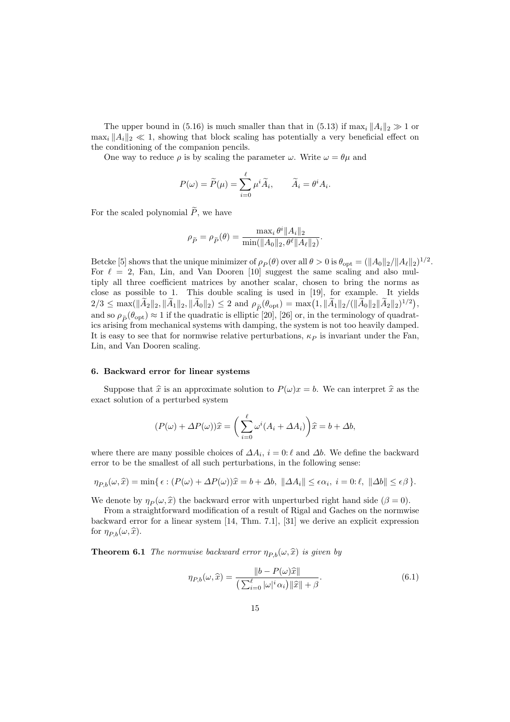The upper bound in (5.16) is much smaller than that in (5.13) if  $\max_i ||A_i||_2 \gg 1$  or  $\max_i \|A_i\|_2 \ll 1$ , showing that block scaling has potentially a very beneficial effect on the conditioning of the companion pencils.

One way to reduce  $\rho$  is by scaling the parameter  $\omega$ . Write  $\omega = \theta \mu$  and

$$
P(\omega) = \widetilde{P}(\mu) = \sum_{i=0}^{\ell} \mu^i \widetilde{A}_i, \qquad \widetilde{A}_i = \theta^i A_i.
$$

For the scaled polynomial  $\widetilde{P}$ , we have

$$
\rho_{\tilde{P}} = \rho_{\tilde{P}}(\theta) = \frac{\max_{i} \theta^{i} \|A_{i}\|_{2}}{\min(\|A_{0}\|_{2}, \theta^{\ell} \|A_{\ell}\|_{2})}
$$

.

Betcke [5] shows that the unique minimizer of  $\rho_P(\theta)$  over all  $\theta > 0$  is  $\theta_{\rm opt} = (\|A_0\|_2 / \|A_\ell\|_2)^{1/2}$ . For  $\ell = 2$ , Fan, Lin, and Van Dooren [10] suggest the same scaling and also multiply all three coefficient matrices by another scalar, chosen to bring the norms as close as possible to 1. This double scaling is used in [19], for example. It yields  $2/3 \leq \max(\|\widetilde{A}_2\|_2, \|\widetilde{A}_1\|_2, \|\widetilde{A}_0\|_2) \leq 2$  and  $\rho_{\widetilde{P}}(\theta_{\text{opt}}) = \max(1, \|\widetilde{A}_1\|_2 / (\|\widetilde{A}_0\|_2 \|\widetilde{A}_2\|_2)^{1/2}),$ and so  $\rho_{\tilde{P}}(\theta_{\text{opt}}) \approx 1$  if the quadratic is elliptic [20], [26] or, in the terminology of quadratics arising from mechanical systems with damping, the system is not too heavily damped. It is easy to see that for normwise relative perturbations,  $\kappa_P$  is invariant under the Fan, Lin, and Van Dooren scaling.

#### 6. Backward error for linear systems

Suppose that  $\hat{x}$  is an approximate solution to  $P(\omega)x = b$ . We can interpret  $\hat{x}$  as the exact solution of a perturbed system

$$
(P(\omega) + \Delta P(\omega))\hat{x} = \left(\sum_{i=0}^{\ell} \omega^{i} (A_i + \Delta A_i)\right)\hat{x} = b + \Delta b,
$$

where there are many possible choices of  $\Delta A_i$ ,  $i = 0$ :  $\ell$  and  $\Delta b$ . We define the backward error to be the smallest of all such perturbations, in the following sense:

$$
\eta_{P,b}(\omega,\widehat{x}) = \min\{\,\epsilon : (P(\omega) + \Delta P(\omega))\widehat{x} = b + \Delta b, \ \|\Delta A_i\| \leq \epsilon \alpha_i, \ i = 0; \ell, \ \|\Delta b\| \leq \epsilon \beta\,\}.
$$

We denote by  $\eta_P(\omega, \hat{x})$  the backward error with unperturbed right hand side  $(\beta = 0)$ .

From a straightforward modification of a result of Rigal and Gaches on the normwise backward error for a linear system [14, Thm. 7.1], [31] we derive an explicit expression for  $\eta_{P,b}(\omega, \widehat{x})$ .

**Theorem 6.1** The normwise backward error  $\eta_{Pb}(\omega, \hat{x})$  is given by

$$
\eta_{P,b}(\omega,\widehat{x}) = \frac{\|b - P(\omega)\widehat{x}\|}{\left(\sum_{i=0}^{\ell} |\omega|^i \alpha_i\right) \|\widehat{x}\| + \beta}.\tag{6.1}
$$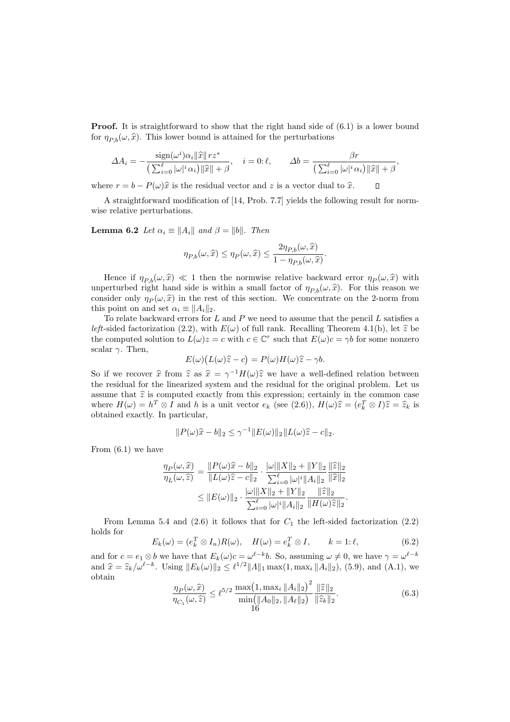**Proof.** It is straightforward to show that the right hand side of  $(6.1)$  is a lower bound for  $\eta_{P,b}(\omega, \hat{x})$ . This lower bound is attained for the perturbations

$$
\Delta A_i = -\frac{\text{sign}(\omega^i)\alpha_i \|\widehat{x}\| r z^*}{\left(\sum_{i=0}^\ell |\omega|^i \alpha_i\right) \|\widehat{x}\| + \beta}, \quad i = 0:\ell, \qquad \Delta b = \frac{\beta r}{\left(\sum_{i=0}^\ell |\omega|^i \alpha_i\right) \|\widehat{x}\| + \beta},
$$

 $\Box$ 

where  $r = b - P(\omega)\hat{x}$  is the residual vector and z is a vector dual to  $\hat{x}$ .

A straightforward modification of [14, Prob. 7.7] yields the following result for normwise relative perturbations.

**Lemma 6.2** Let  $\alpha_i \equiv ||A_i||$  and  $\beta = ||b||$ . Then

$$
\eta_{P,b}(\omega,\widehat{x}) \le \eta_P(\omega,\widehat{x}) \le \frac{2\eta_{P,b}(\omega,\widehat{x})}{1 - \eta_{P,b}(\omega,\widehat{x})}.
$$

Hence if  $\eta_{P,b}(\omega, \hat{x}) \ll 1$  then the normwise relative backward error  $\eta_P(\omega, \hat{x})$  with unperturbed right hand side is within a small factor of  $\eta_{P,b}(\omega, \hat{x})$ . For this reason we consider only  $\eta_P(\omega, \hat{x})$  in the rest of this section. We concentrate on the 2-norm from this point on and set  $\alpha_i \equiv ||A_i||_2$ .

To relate backward errors for  $L$  and  $P$  we need to assume that the pencil  $L$  satisfies a left-sided factorization (2.2), with  $E(\omega)$  of full rank. Recalling Theorem 4.1(b), let  $\hat{z}$  be the computed solution to  $L(\omega)z = c$  with  $c \in \mathbb{C}^r$  such that  $E(\omega)c = \gamma b$  for some nonzero scalar  $\gamma$ . Then,

$$
E(\omega)\big(L(\omega)\widehat{z}-c\big)=P(\omega)H(\omega)\widehat{z}-\gamma b.
$$

So if we recover  $\hat{x}$  from  $\hat{z}$  as  $\hat{x} = \gamma^{-1}H(\omega)\hat{z}$  we have a well-defined relation between the residual for the linearized system and the residual for the original problem. Let us assume that  $\hat{z}$  is computed exactly from this expression; certainly in the common case where  $H(\omega) = h^T \otimes I$  and h is a unit vector  $e_k$  (see (2.6)),  $H(\omega)\hat{z} = (e_k^T \otimes I)\hat{z} = \hat{z}_k$  is obtained exactly. In particular,

$$
||P(\omega)\hat{x} - b||_2 \leq \gamma^{-1}||E(\omega)||_2||L(\omega)\hat{z} - c||_2.
$$

From  $(6.1)$  we have

$$
\frac{\eta_P(\omega, \hat{x})}{\eta_L(\omega, \hat{z})} = \frac{\|P(\omega)\hat{x} - b\|_2}{\|L(\omega)\hat{z} - c\|_2} \cdot \frac{\|\omega\|X\|_2 + \|Y\|_2}{\sum_{i=0}^{\ell} |\omega|^i \|A_i\|_2} \frac{\|\hat{z}\|_2}{\|\hat{x}\|_2}
$$
  

$$
\leq \|E(\omega)\|_2 \cdot \frac{\|\omega\|X\|_2 + \|Y\|_2}{\sum_{i=0}^{\ell} |\omega|^i \|A_i\|_2} \frac{\|\hat{z}\|_2}{\|H(\omega)\hat{z}\|_2}.
$$

From Lemma 5.4 and (2.6) it follows that for  $C_1$  the left-sided factorization (2.2) holds for

$$
E_k(\omega) = (e_k^T \otimes I_n)R(\omega), \quad H(\omega) = e_k^T \otimes I, \qquad k = 1:\ell,
$$
\n(6.2)

and for  $c = e_1 \otimes b$  we have that  $E_k(\omega) c = \omega^{\ell-k} b$ . So, assuming  $\omega \neq 0$ , we have  $\gamma = \omega^{\ell-k} b$ and  $\hat{x} = \hat{z}_k / \omega^{\ell-k}$ . Using  $||E_k(\omega)||_2 \leq \ell^{1/2} ||\Lambda||_1 \max(1, \max_i ||A_i||_2)$ , (5.9), and (A.1), we obtain

$$
\frac{\eta_P(\omega,\widehat{x})}{\eta_{C_1}(\omega,\widehat{z})} \le \ell^{5/2} \frac{\max(1,\max_i \|A_i\|_2)^2}{\min(\|A_0\|_2,\|A_\ell\|_2)} \frac{\|\widehat{z}\|_2}{\|\widehat{z}_k\|_2}.
$$
\n(6.3)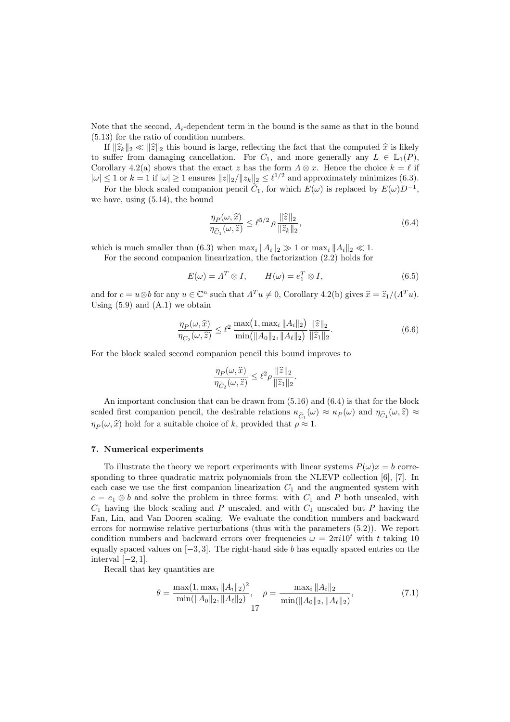Note that the second,  $A_i$ -dependent term in the bound is the same as that in the bound (5.13) for the ratio of condition numbers.

If  $\|\hat{z}_k\|_2 \ll \|\hat{z}\|_2$  this bound is large, reflecting the fact that the computed  $\hat{x}$  is likely to suffer from damaging cancellation. For  $C_1$ , and more generally any  $L \in \mathbb{L}_1(P)$ , Corollary 4.2(a) shows that the exact z has the form  $\Lambda \otimes x$ . Hence the choice  $k = \ell$  if  $|\omega| \leq 1$  or  $k = 1$  if  $|\omega| \geq 1$  ensures  $||z||_2 / ||z_k||_2 \leq \ell^{1/2}$  and approximately minimizes (6.3).

For the block scaled companion pencil  $\tilde{C}_1$ , for which  $E(\omega)$  is replaced by  $E(\omega)D^{-1}$ , we have, using (5.14), the bound

$$
\frac{\eta_P(\omega,\widehat{x})}{\eta_{\widetilde{C}_1}(\omega,\widehat{z})} \le \ell^{5/2} \rho \frac{\|\widehat{z}\|_2}{\|\widehat{z}_k\|_2},\tag{6.4}
$$

which is much smaller than (6.3) when  $\max_i ||A_i||_2 \gg 1$  or  $\max_i ||A_i||_2 \ll 1$ .

For the second companion linearization, the factorization (2.2) holds for

$$
E(\omega) = \Lambda^T \otimes I, \qquad H(\omega) = e_1^T \otimes I,
$$
\n(6.5)

and for  $c = u \otimes b$  for any  $u \in \mathbb{C}^n$  such that  $\Lambda^T u \neq 0$ , Corollary 4.2(b) gives  $\hat{x} = \hat{z}_1/( \Lambda^T u)$ . Using  $(5.9)$  and  $(A.1)$  we obtain

$$
\frac{\eta_P(\omega,\widehat{x})}{\eta_{C_2}(\omega,\widehat{z})} \le \ell^2 \frac{\max(1,\max_i \|A_i\|_2)}{\min(\|A_0\|_2, \|A_\ell\|_2)} \frac{\|\widehat{z}\|_2}{\|\widehat{z}_1\|_2}.
$$
\n(6.6)

For the block scaled second companion pencil this bound improves to

$$
\frac{\eta_P(\omega,\widehat{x})}{\eta_{\widetilde{C}_2}(\omega,\widehat{z})} \leq \ell^2 \rho \frac{\|\widehat{z}\|_2}{\|\widehat{z}_1\|_2}.
$$

An important conclusion that can be drawn from (5.16) and (6.4) is that for the block scaled first companion pencil, the desirable relations  $\kappa_{\tilde{C}_1}(\omega) \approx \kappa_P(\omega)$  and  $\eta_{\tilde{C}_1}(\omega,\hat{z}) \approx$  $\eta_P(\omega, \hat{x})$  hold for a suitable choice of k, provided that  $\rho \approx 1$ .

#### 7. Numerical experiments

To illustrate the theory we report experiments with linear systems  $P(\omega)x = b$  corresponding to three quadratic matrix polynomials from the NLEVP collection [6], [7]. In each case we use the first companion linearization  $C_1$  and the augmented system with  $c = e_1 \otimes b$  and solve the problem in three forms: with  $C_1$  and P both unscaled, with  $C_1$  having the block scaling and P unscaled, and with  $C_1$  unscaled but P having the Fan, Lin, and Van Dooren scaling. We evaluate the condition numbers and backward errors for normwise relative perturbations (thus with the parameters (5.2)). We report condition numbers and backward errors over frequencies  $\omega = 2\pi i 10^t$  with t taking 10 equally spaced values on  $[-3, 3]$ . The right-hand side b has equally spaced entries on the interval  $[-2, 1]$ .

Recall that key quantities are

$$
\theta = \frac{\max(1, \max_i \|A_i\|_2)^2}{\min(\|A_0\|_2, \|A_\ell\|_2)}, \quad \rho = \frac{\max_i \|A_i\|_2}{\min(\|A_0\|_2, \|A_\ell\|_2)},\tag{7.1}
$$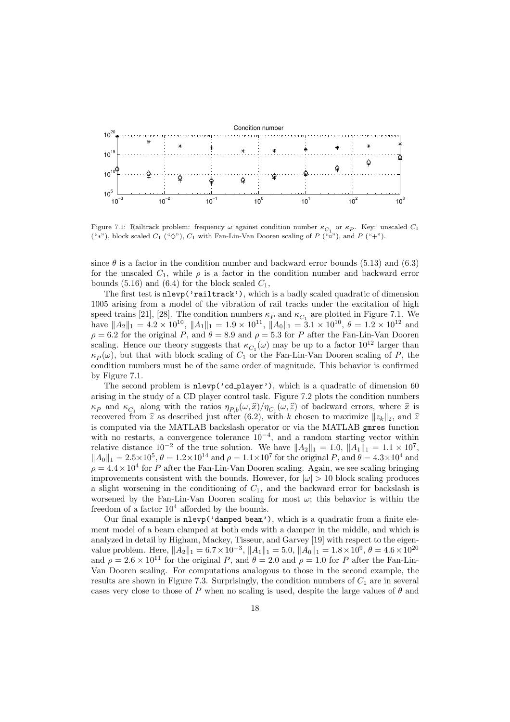

Figure 7.1: Railtrack problem: frequency  $\omega$  against condition number  $\kappa_{C_1}$  or  $\kappa_P$ . Key: unscaled  $C_1$ ("\*"), block scaled  $C_1$  (" $\diamondsuit$ "),  $C_1$  with Fan-Lin-Van Dooren scaling of P (" $\circ$ "), and P ("+").

since  $\theta$  is a factor in the condition number and backward error bounds (5.13) and (6.3) for the unscaled  $C_1$ , while  $\rho$  is a factor in the condition number and backward error bounds (5.16) and (6.4) for the block scaled  $C_1$ ,

The first test is nlevp('railtrack'), which is a badly scaled quadratic of dimension 1005 arising from a model of the vibration of rail tracks under the excitation of high speed trains [21], [28]. The condition numbers  $\kappa_P$  and  $\kappa_{C_1}$  are plotted in Figure 7.1. We have  $||A_2||_1 = 4.2 \times 10^{10}$ ,  $||A_1||_1 = 1.9 \times 10^{11}$ ,  $||A_0||_1 = 3.1 \times 10^{10}$ ,  $\theta = 1.2 \times 10^{12}$  and  $\rho = 6.2$  for the original P, and  $\theta = 8.9$  and  $\rho = 5.3$  for P after the Fan-Lin-Van Dooren scaling. Hence our theory suggests that  $\kappa_{C_1}(\omega)$  may be up to a factor  $10^{12}$  larger than  $\kappa_P(\omega)$ , but that with block scaling of  $C_1$  or the Fan-Lin-Van Dooren scaling of P, the condition numbers must be of the same order of magnitude. This behavior is confirmed by Figure 7.1.

The second problem is  $n \leq c \leq \text{player'}$ , which is a quadratic of dimension 60 arising in the study of a CD player control task. Figure 7.2 plots the condition numbers  $\kappa_P$  and  $\kappa_{C_1}$  along with the ratios  $\eta_{P,b}(\omega, \hat{x})/\eta_{C_1}(\omega, \hat{z})$  of backward errors, where  $\hat{x}$  is recovered from  $\hat{z}$  as described just after (6.2), with k chosen to maximize  $||z_k||_2$ , and  $\hat{z}$ is computed via the MATLAB backslash operator or via the MATLAB gmres function with no restarts, a convergence tolerance  $10^{-4}$ , and a random starting vector within relative distance  $10^{-2}$  of the true solution. We have  $||A_2||_1 = 1.0$ ,  $||A_1||_1 = 1.1 \times 10^7$ ,  $||A_0||_1 = 2.5 \times 10^5$ ,  $\theta = 1.2 \times 10^{14}$  and  $\rho = 1.1 \times 10^7$  for the original P, and  $\theta = 4.3 \times 10^4$  and  $\rho = 4.4 \times 10^4$  for P after the Fan-Lin-Van Dooren scaling. Again, we see scaling bringing improvements consistent with the bounds. However, for  $|\omega| > 10$  block scaling produces a slight worsening in the conditioning of  $C_1$ , and the backward error for backslash is worsened by the Fan-Lin-Van Dooren scaling for most  $\omega$ ; this behavior is within the freedom of a factor  $10^4$  afforded by the bounds.

Our final example is nlevp('damped beam'), which is a quadratic from a finite element model of a beam clamped at both ends with a damper in the middle, and which is analyzed in detail by Higham, Mackey, Tisseur, and Garvey [19] with respect to the eigenvalue problem. Here,  $||A_2||_1 = 6.7 \times 10^{-3}$ ,  $||A_1||_1 = 5.0$ ,  $||A_0||_1 = 1.8 \times 10^9$ ,  $\theta = 4.6 \times 10^{20}$ and  $\rho = 2.6 \times 10^{11}$  for the original P, and  $\theta = 2.0$  and  $\rho = 1.0$  for P after the Fan-Lin-Van Dooren scaling. For computations analogous to those in the second example, the results are shown in Figure 7.3. Surprisingly, the condition numbers of  $C_1$  are in several cases very close to those of P when no scaling is used, despite the large values of  $\theta$  and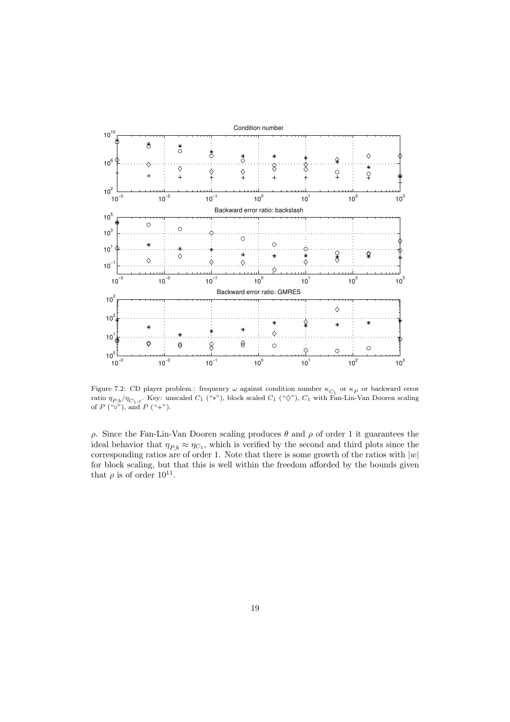

Figure 7.2: CD player problem.: frequency  $\omega$  against condition number  $\kappa_{C_1}$  or  $\kappa_P$  or backward error ratio  $\eta_{P,b}/\eta_{C_1,c}$ . Key: unscaled  $C_1$  ("\*"), block scaled  $C_1$  (" $\diamondsuit$ "),  $C_1$  with Fan-Lin-Van Dooren scaling of  $P({}``\circ")$ , and  $P({}``+")$ .

ρ. Since the Fan-Lin-Van Dooren scaling produces θ and ρ of order 1 it guarantees the ideal behavior that  $\eta_{P,b} \approx \eta_{C_1}$ , which is verified by the second and third plots since the corresponding ratios are of order 1. Note that there is some growth of the ratios with  $|w|$ for block scaling, but that this is well within the freedom afforded by the bounds given that  $\rho$  is of order  $10^{11}$ .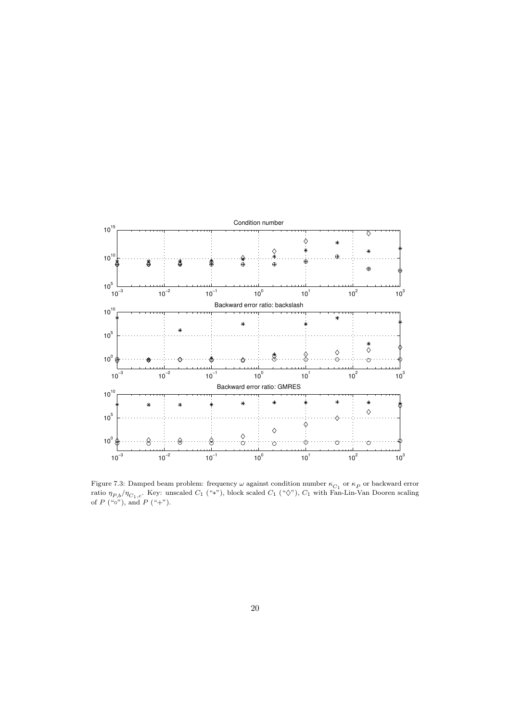

Figure 7.3: Damped beam problem: frequency  $\omega$  against condition number  $\kappa_{C_1}$  or  $\kappa_P$  or backward error ratio  $\eta_{P,b}/\eta_{C_1,c}$ . Key: unscaled  $C_1$  ("\*"), block scaled  $C_1$  (" $\diamondsuit$ "),  $C_1$  with Fan-Lin-Van Dooren scaling of  $P$  (" $\circ$ "), and  $P$  (" $+$ ").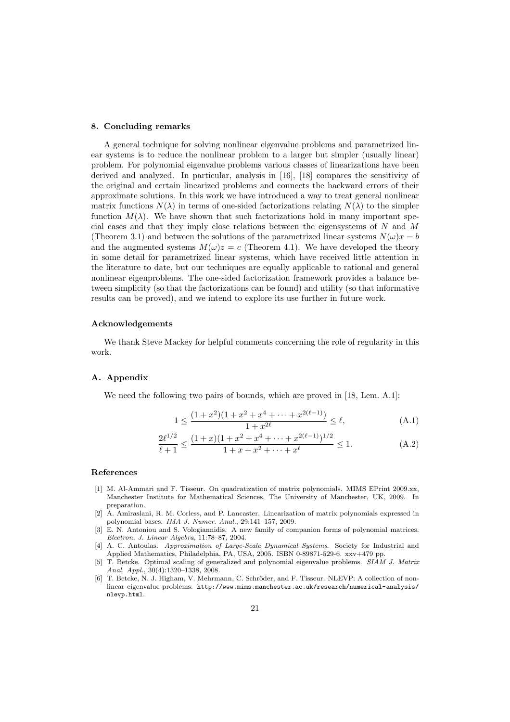#### 8. Concluding remarks

A general technique for solving nonlinear eigenvalue problems and parametrized linear systems is to reduce the nonlinear problem to a larger but simpler (usually linear) problem. For polynomial eigenvalue problems various classes of linearizations have been derived and analyzed. In particular, analysis in [16], [18] compares the sensitivity of the original and certain linearized problems and connects the backward errors of their approximate solutions. In this work we have introduced a way to treat general nonlinear matrix functions  $N(\lambda)$  in terms of one-sided factorizations relating  $N(\lambda)$  to the simpler function  $M(\lambda)$ . We have shown that such factorizations hold in many important special cases and that they imply close relations between the eigensystems of  $N$  and  $M$ (Theorem 3.1) and between the solutions of the parametrized linear systems  $N(\omega)x = b$ and the augmented systems  $M(\omega)z = c$  (Theorem 4.1). We have developed the theory in some detail for parametrized linear systems, which have received little attention in the literature to date, but our techniques are equally applicable to rational and general nonlinear eigenproblems. The one-sided factorization framework provides a balance between simplicity (so that the factorizations can be found) and utility (so that informative results can be proved), and we intend to explore its use further in future work.

#### Acknowledgements

We thank Steve Mackey for helpful comments concerning the role of regularity in this work.

#### A. Appendix

We need the following two pairs of bounds, which are proved in [18, Lem. A.1]:

$$
1 \le \frac{(1+x^2)(1+x^2+x^4+\dots+x^{2(\ell-1)})}{1+x^{2\ell}} \le \ell,
$$
\n(A.1)

$$
\frac{2\ell^{1/2}}{\ell+1} \le \frac{(1+x)(1+x^2+x^4+\dots+x^{2(\ell-1)})^{1/2}}{1+x+x^2+\dots+x^{\ell}} \le 1.
$$
 (A.2)

#### References

- [1] M. Al-Ammari and F. Tisseur. On quadratization of matrix polynomials. MIMS EPrint 2009.xx, Manchester Institute for Mathematical Sciences, The University of Manchester, UK, 2009. In preparation.
- [2] A. Amiraslani, R. M. Corless, and P. Lancaster. Linearization of matrix polynomials expressed in polynomial bases. IMA J. Numer. Anal., 29:141–157, 2009.
- [3] E. N. Antoniou and S. Vologiannidis. A new family of companion forms of polynomial matrices. Electron. J. Linear Algebra, 11:78–87, 2004.
- [4] A. C. Antoulas. Approximation of Large-Scale Dynamical Systems. Society for Industrial and Applied Mathematics, Philadelphia, PA, USA, 2005. ISBN 0-89871-529-6. xxv+479 pp.
- [5] T. Betcke. Optimal scaling of generalized and polynomial eigenvalue problems. SIAM J. Matrix Anal. Appl., 30(4):1320–1338, 2008.
- T. Betcke, N. J. Higham, V. Mehrmann, C. Schröder, and F. Tisseur. NLEVP: A collection of nonlinear eigenvalue problems. http://www.mims.manchester.ac.uk/research/numerical-analysis/ nlevp.html.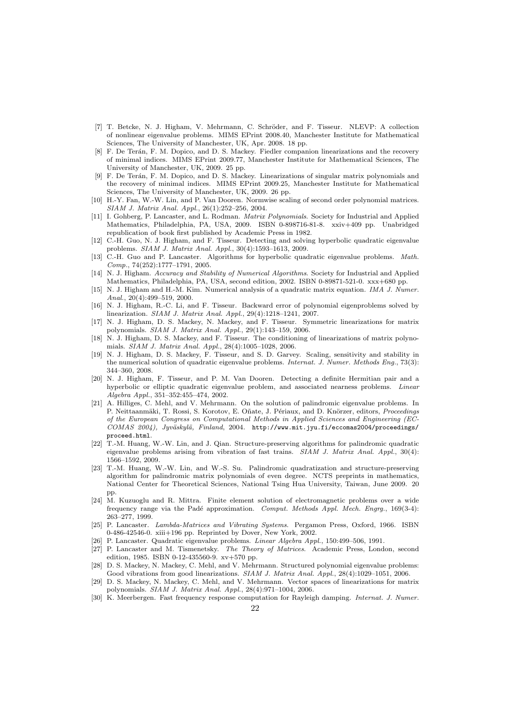- [7] T. Betcke, N. J. Higham, V. Mehrmann, C. Schröder, and F. Tisseur. NLEVP: A collection of nonlinear eigenvalue problems. MIMS EPrint 2008.40, Manchester Institute for Mathematical Sciences, The University of Manchester, UK, Apr. 2008. 18 pp.
- [8] F. De Terán, F. M. Dopico, and D. S. Mackey. Fiedler companion linearizations and the recovery of minimal indices. MIMS EPrint 2009.77, Manchester Institute for Mathematical Sciences, The University of Manchester, UK, 2009. 25 pp.
- [9] F. De Ter´an, F. M. Dopico, and D. S. Mackey. Linearizations of singular matrix polynomials and the recovery of minimal indices. MIMS EPrint 2009.25, Manchester Institute for Mathematical Sciences, The University of Manchester, UK, 2009. 26 pp.
- [10] H.-Y. Fan, W.-W. Lin, and P. Van Dooren. Normwise scaling of second order polynomial matrices. SIAM J. Matrix Anal. Appl., 26(1):252–256, 2004.
- [11] I. Gohberg, P. Lancaster, and L. Rodman. *Matrix Polynomials*. Society for Industrial and Applied Mathematics, Philadelphia, PA, USA, 2009. ISBN 0-898716-81-8. xxiv+409 pp. Unabridged republication of book first published by Academic Press in 1982.
- [12] C.-H. Guo, N. J. Higham, and F. Tisseur. Detecting and solving hyperbolic quadratic eigenvalue problems. SIAM J. Matrix Anal. Appl., 30(4):1593–1613, 2009.
- [13] C.-H. Guo and P. Lancaster. Algorithms for hyperbolic quadratic eigenvalue problems. Math. Comp., 74(252):1777–1791, 2005.
- [14] N. J. Higham. Accuracy and Stability of Numerical Algorithms. Society for Industrial and Applied Mathematics, Philadelphia, PA, USA, second edition, 2002. ISBN 0-89871-521-0. xxx+680 pp.
- [15] N. J. Higham and H.-M. Kim. Numerical analysis of a quadratic matrix equation. IMA J. Numer. Anal., 20(4):499–519, 2000.
- [16] N. J. Higham, R.-C. Li, and F. Tisseur. Backward error of polynomial eigenproblems solved by linearization. SIAM J. Matrix Anal. Appl., 29(4):1218–1241, 2007.
- [17] N. J. Higham, D. S. Mackey, N. Mackey, and F. Tisseur. Symmetric linearizations for matrix polynomials. SIAM J. Matrix Anal. Appl., 29(1):143–159, 2006.
- [18] N. J. Higham, D. S. Mackey, and F. Tisseur. The conditioning of linearizations of matrix polynomials. SIAM J. Matrix Anal. Appl., 28(4):1005–1028, 2006.
- [19] N. J. Higham, D. S. Mackey, F. Tisseur, and S. D. Garvey. Scaling, sensitivity and stability in the numerical solution of quadratic eigenvalue problems. *Internat. J. Numer. Methods Eng.*, 73(3): 344–360, 2008.
- [20] N. J. Higham, F. Tisseur, and P. M. Van Dooren. Detecting a definite Hermitian pair and a hyperbolic or elliptic quadratic eigenvalue problem, and associated nearness problems. Linear Algebra Appl., 351–352:455–474, 2002.
- [21] A. Hilliges, C. Mehl, and V. Mehrmann. On the solution of palindromic eigenvalue problems. In P. Neittaanmäki, T. Rossi, S. Korotov, E. Oñate, J. Périaux, and D. Knörzer, editors, Proceedings of the European Congress on Computational Methods in Applied Sciences and Engineering (EC-COMAS 2004), Jyväskylä, Finland, 2004. http://www.mit.jyu.fi/eccomas2004/proceedings/ proceed.html.
- [22] T.-M. Huang, W.-W. Lin, and J. Qian. Structure-preserving algorithms for palindromic quadratic eigenvalue problems arising from vibration of fast trains.  $SIAM$  J. Matrix Anal. Appl., 30(4): 1566–1592, 2009.
- [23] T.-M. Huang, W.-W. Lin, and W.-S. Su. Palindromic quadratization and structure-preserving algorithm for palindromic matrix polynomials of even degree. NCTS preprints in mathematics, National Center for Theoretical Sciences, National Tsing Hua University, Taiwan, June 2009. 20 pp.
- [24] M. Kuzuoglu and R. Mittra. Finite element solution of electromagnetic problems over a wide frequency range via the Padé approximation. Comput. Methods Appl. Mech. Engrg., 169(3-4): 263–277, 1999.
- [25] P. Lancaster. Lambda-Matrices and Vibrating Systems. Pergamon Press, Oxford, 1966. ISBN 0-486-42546-0. xiii+196 pp. Reprinted by Dover, New York, 2002.
- [26] P. Lancaster. Quadratic eigenvalue problems. Linear Algebra Appl., 150:499–506, 1991.
- [27] P. Lancaster and M. Tismenetsky. The Theory of Matrices. Academic Press, London, second edition, 1985. ISBN 0-12-435560-9. xv+570 pp.
- [28] D. S. Mackey, N. Mackey, C. Mehl, and V. Mehrmann. Structured polynomial eigenvalue problems: Good vibrations from good linearizations. SIAM J. Matrix Anal. Appl., 28(4):1029-1051, 2006.
- [29] D. S. Mackey, N. Mackey, C. Mehl, and V. Mehrmann. Vector spaces of linearizations for matrix polynomials. SIAM J. Matrix Anal. Appl., 28(4):971–1004, 2006.
- [30] K. Meerbergen. Fast frequency response computation for Rayleigh damping. Internat. J. Numer.